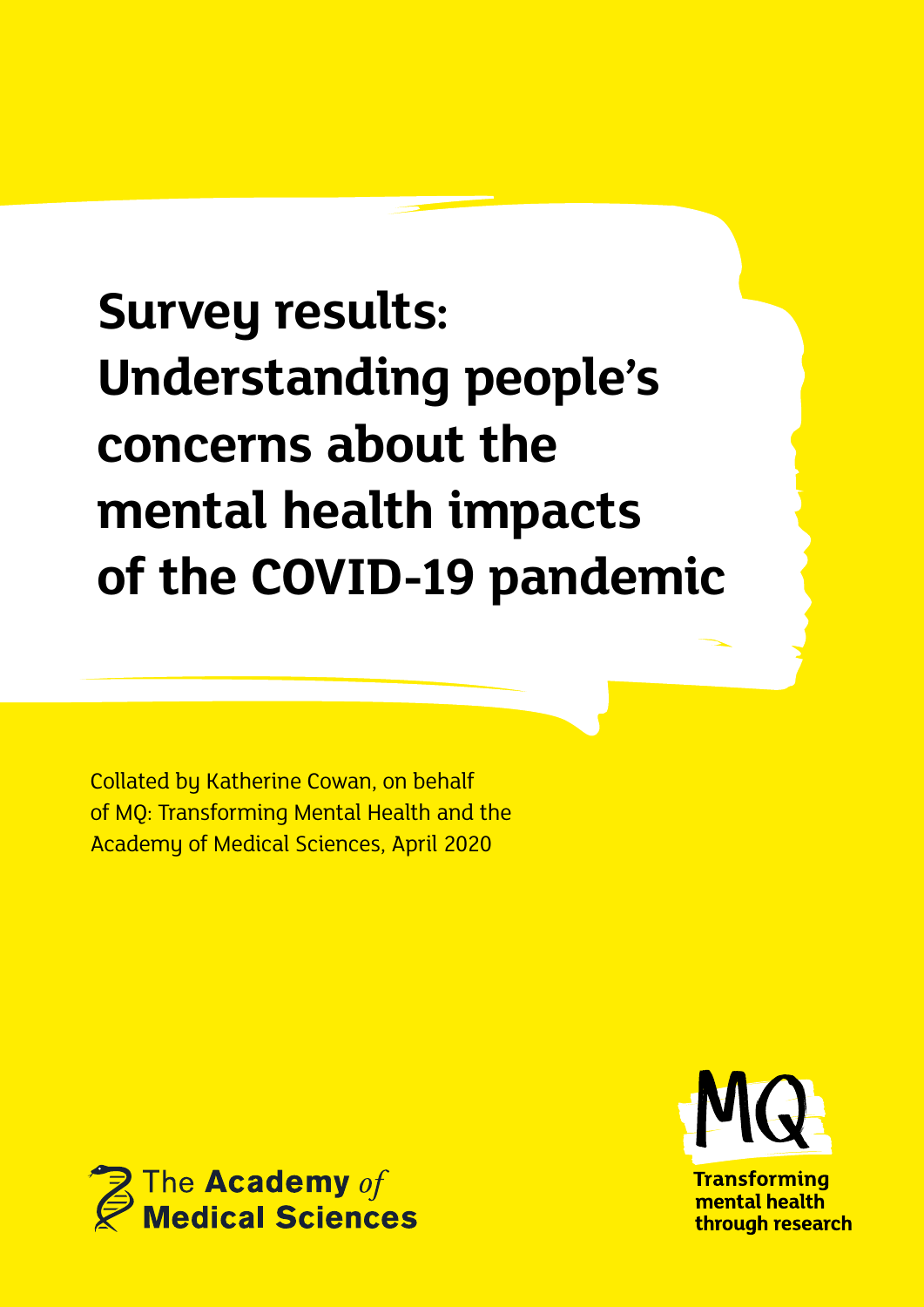# **Survey results: Understanding people's concerns about the mental health impacts of the COVID-19 pandemic**

Collated by Katherine Cowan, on behalf of MQ: Transforming Mental Health and the Academy of Medical Sciences, April 2020





**Transforming** mental health through research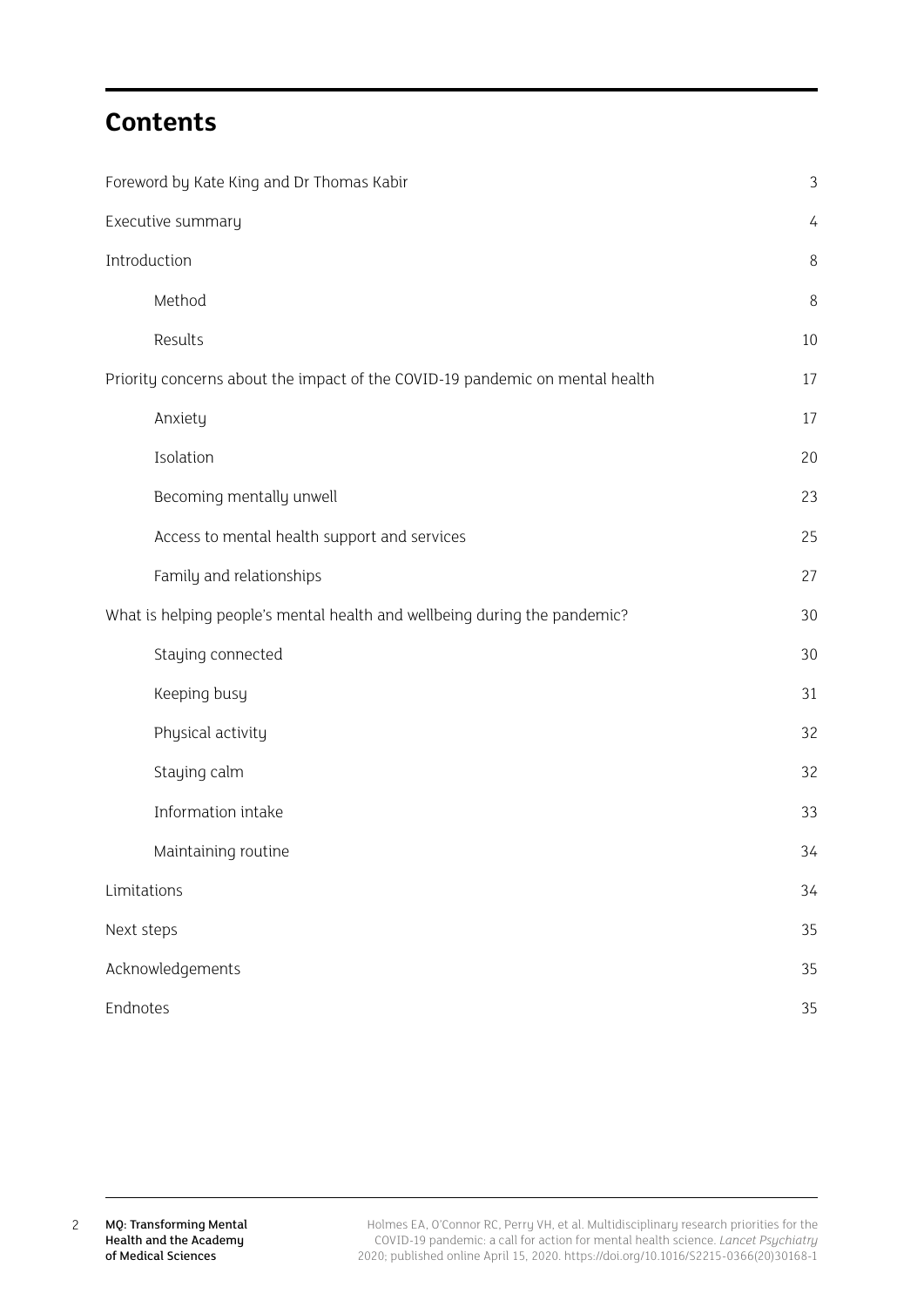## **Contents**

| Foreword by Kate King and Dr Thomas Kabir                                    | 3  |
|------------------------------------------------------------------------------|----|
| Executive summary                                                            | 4  |
| Introduction                                                                 | 8  |
| Method                                                                       | 8  |
| Results                                                                      | 10 |
| Priority concerns about the impact of the COVID-19 pandemic on mental health | 17 |
| Anxiety                                                                      | 17 |
| Isolation                                                                    | 20 |
| Becoming mentally unwell                                                     | 23 |
| Access to mental health support and services                                 | 25 |
| Family and relationships                                                     | 27 |
| What is helping people's mental health and wellbeing during the pandemic?    | 30 |
| Staying connected                                                            | 30 |
| Keeping busy                                                                 | 31 |
| Physical activity                                                            | 32 |
| Staying calm                                                                 | 32 |
| Information intake                                                           | 33 |
| Maintaining routine                                                          | 34 |
| Limitations                                                                  | 34 |
| Next steps                                                                   | 35 |
| Acknowledgements                                                             | 35 |
| Endnotes                                                                     | 35 |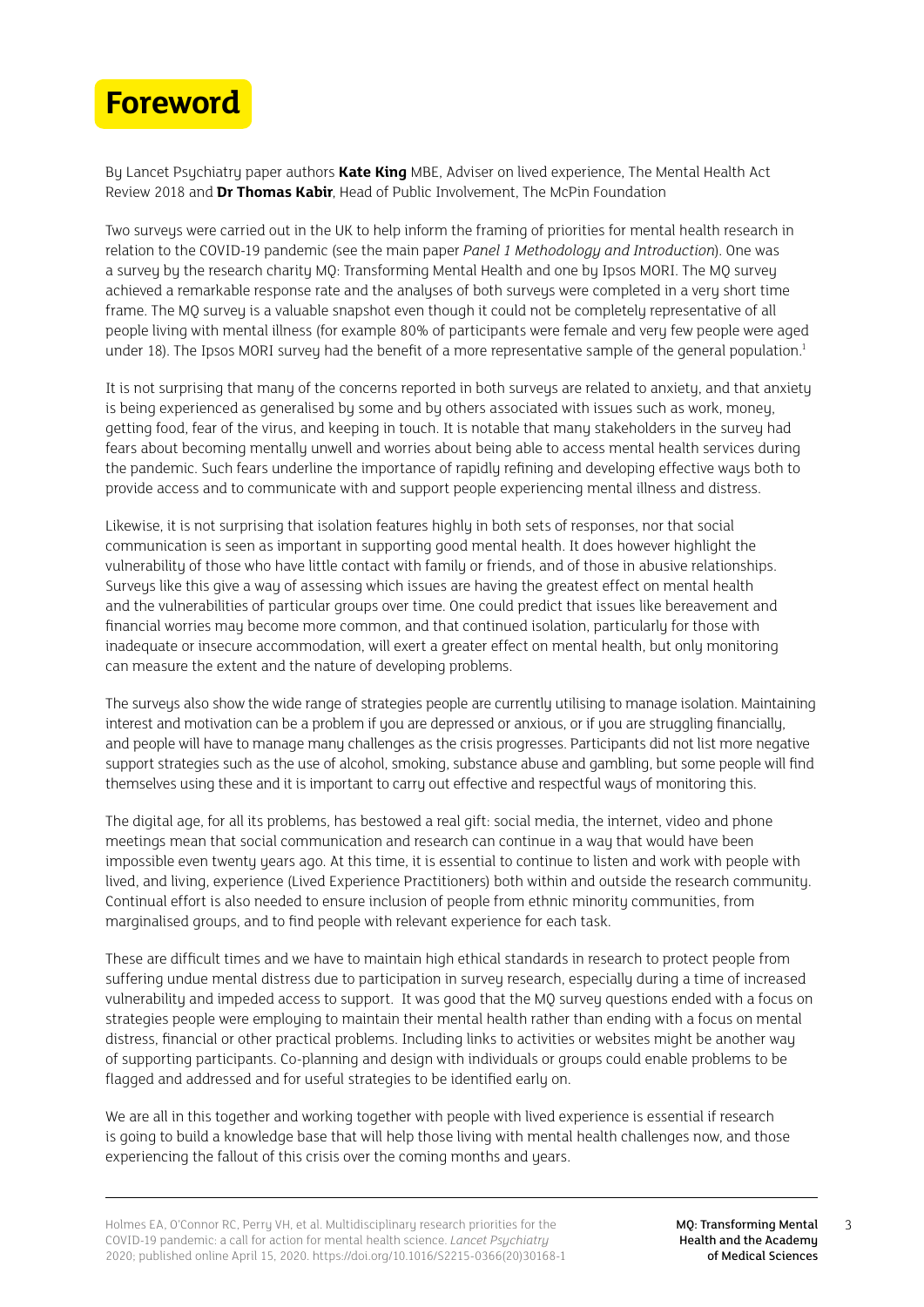<span id="page-2-0"></span>

By Lancet Psychiatry paper authors **Kate King** MBE, Adviser on lived experience, The Mental Health Act Review 2018 and **Dr Thomas Kabir**, Head of Public Involvement, The McPin Foundation

Two surveys were carried out in the UK to help inform the framing of priorities for mental health research in relation to the COVID-19 pandemic (see the main paper *Panel 1 Methodology and Introduction*). One was a survey by the research charity MQ: Transforming Mental Health and one by Ipsos MORI. The MQ survey achieved a remarkable response rate and the analyses of both surveys were completed in a very short time frame. The MQ survey is a valuable snapshot even though it could not be completely representative of all people living with mental illness (for example 80% of participants were female and very few people were aged under 18). The Ipsos MORI survey had the benefit of a more representative sample of the general population.<sup>1</sup>

It is not surprising that many of the concerns reported in both surveys are related to anxiety, and that anxiety is being experienced as generalised by some and by others associated with issues such as work, money, getting food, fear of the virus, and keeping in touch. It is notable that many stakeholders in the survey had fears about becoming mentally unwell and worries about being able to access mental health services during the pandemic. Such fears underline the importance of rapidly refining and developing effective ways both to provide access and to communicate with and support people experiencing mental illness and distress.

Likewise, it is not surprising that isolation features highly in both sets of responses, nor that social communication is seen as important in supporting good mental health. It does however highlight the vulnerability of those who have little contact with family or friends, and of those in abusive relationships. Surveys like this give a way of assessing which issues are having the greatest effect on mental health and the vulnerabilities of particular groups over time. One could predict that issues like bereavement and financial worries may become more common, and that continued isolation, particularly for those with inadequate or insecure accommodation, will exert a greater effect on mental health, but only monitoring can measure the extent and the nature of developing problems.

The surveys also show the wide range of strategies people are currently utilising to manage isolation. Maintaining interest and motivation can be a problem if you are depressed or anxious, or if you are struggling financially, and people will have to manage many challenges as the crisis progresses. Participants did not list more negative support strategies such as the use of alcohol, smoking, substance abuse and gambling, but some people will find themselves using these and it is important to carry out effective and respectful ways of monitoring this.

The digital age, for all its problems, has bestowed a real gift: social media, the internet, video and phone meetings mean that social communication and research can continue in a way that would have been impossible even twenty years ago. At this time, it is essential to continue to listen and work with people with lived, and living, experience (Lived Experience Practitioners) both within and outside the research community. Continual effort is also needed to ensure inclusion of people from ethnic minority communities, from marginalised groups, and to find people with relevant experience for each task.

These are difficult times and we have to maintain high ethical standards in research to protect people from suffering undue mental distress due to participation in survey research, especially during a time of increased vulnerability and impeded access to support. It was good that the MQ survey questions ended with a focus on strategies people were employing to maintain their mental health rather than ending with a focus on mental distress, financial or other practical problems. Including links to activities or websites might be another way of supporting participants. Co-planning and design with individuals or groups could enable problems to be flagged and addressed and for useful strategies to be identified early on.

We are all in this together and working together with people with lived experience is essential if research is going to build a knowledge base that will help those living with mental health challenges now, and those experiencing the fallout of this crisis over the coming months and years.

3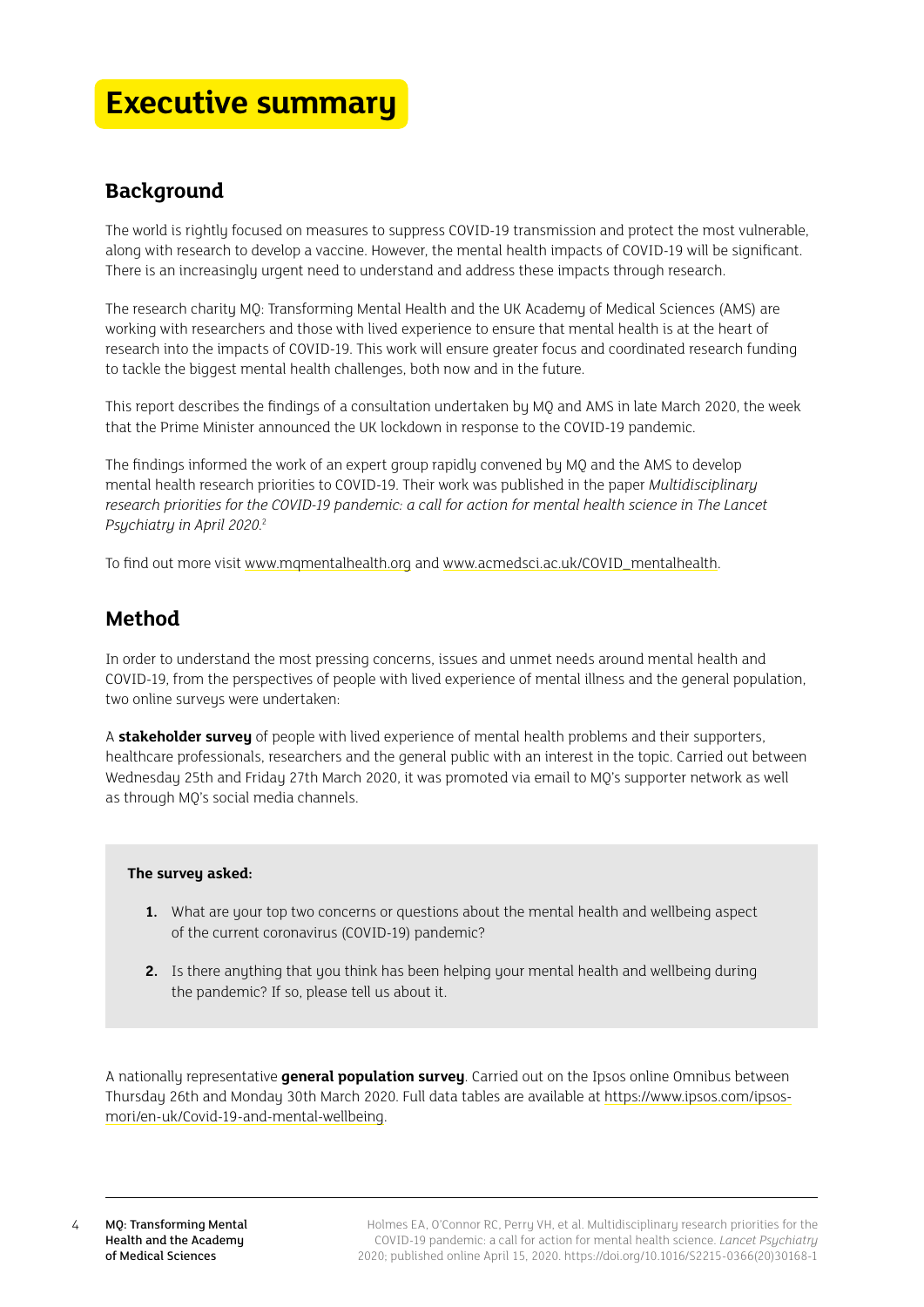## <span id="page-3-0"></span>**Executive summary**

## **Background**

The world is rightly focused on measures to suppress COVID-19 transmission and protect the most vulnerable, along with research to develop a vaccine. However, the mental health impacts of COVID-19 will be significant. There is an increasingly urgent need to understand and address these impacts through research.

The research charity MQ: Transforming Mental Health and the UK Academy of Medical Sciences (AMS) are working with researchers and those with lived experience to ensure that mental health is at the heart of research into the impacts of COVID-19. This work will ensure greater focus and coordinated research funding to tackle the biggest mental health challenges, both now and in the future.

This report describes the findings of a consultation undertaken by MQ and AMS in late March 2020, the week that the Prime Minister announced the UK lockdown in response to the COVID-19 pandemic.

The findings informed the work of an expert group rapidly convened by MQ and the AMS to develop mental health research priorities to COVID-19. Their work was published in the paper *Multidisciplinary research priorities for the COVID-19 pandemic: a call for action for mental health science in The Lancet Psychiatry in April 2020*. 2

To find out more visit [www.mqmentalhealth.org](http://www.mqmentalhealth.org) and [www.acmedsci.ac.uk/COVID\\_mentalhealth](http://www.acmedsci.ac.uk/COVID_mentalhealth).

## **Method**

In order to understand the most pressing concerns, issues and unmet needs around mental health and COVID-19, from the perspectives of people with lived experience of mental illness and the general population, two online surveys were undertaken:

A **stakeholder survey** of people with lived experience of mental health problems and their supporters, healthcare professionals, researchers and the general public with an interest in the topic. Carried out between Wednesday 25th and Friday 27th March 2020, it was promoted via email to MQ's supporter network as well as through MQ's social media channels.

## **The survey asked:**

- **1.** What are your top two concerns or questions about the mental health and wellbeing aspect of the current coronavirus (COVID-19) pandemic?
- **2.** Is there anything that you think has been helping your mental health and wellbeing during the pandemic? If so, please tell us about it.

A nationally representative **general population survey**. Carried out on the Ipsos online Omnibus between Thursday 26th and Monday 30th March 2020. Full data tables are available at [https://www.ipsos.com/ipsos](https://www.ipsos.com/ipsos-mori/en-uk/Covid-19-and-mental-wellbeing)[mori/en-uk/Covid-19-and-mental-wellbeing](https://www.ipsos.com/ipsos-mori/en-uk/Covid-19-and-mental-wellbeing).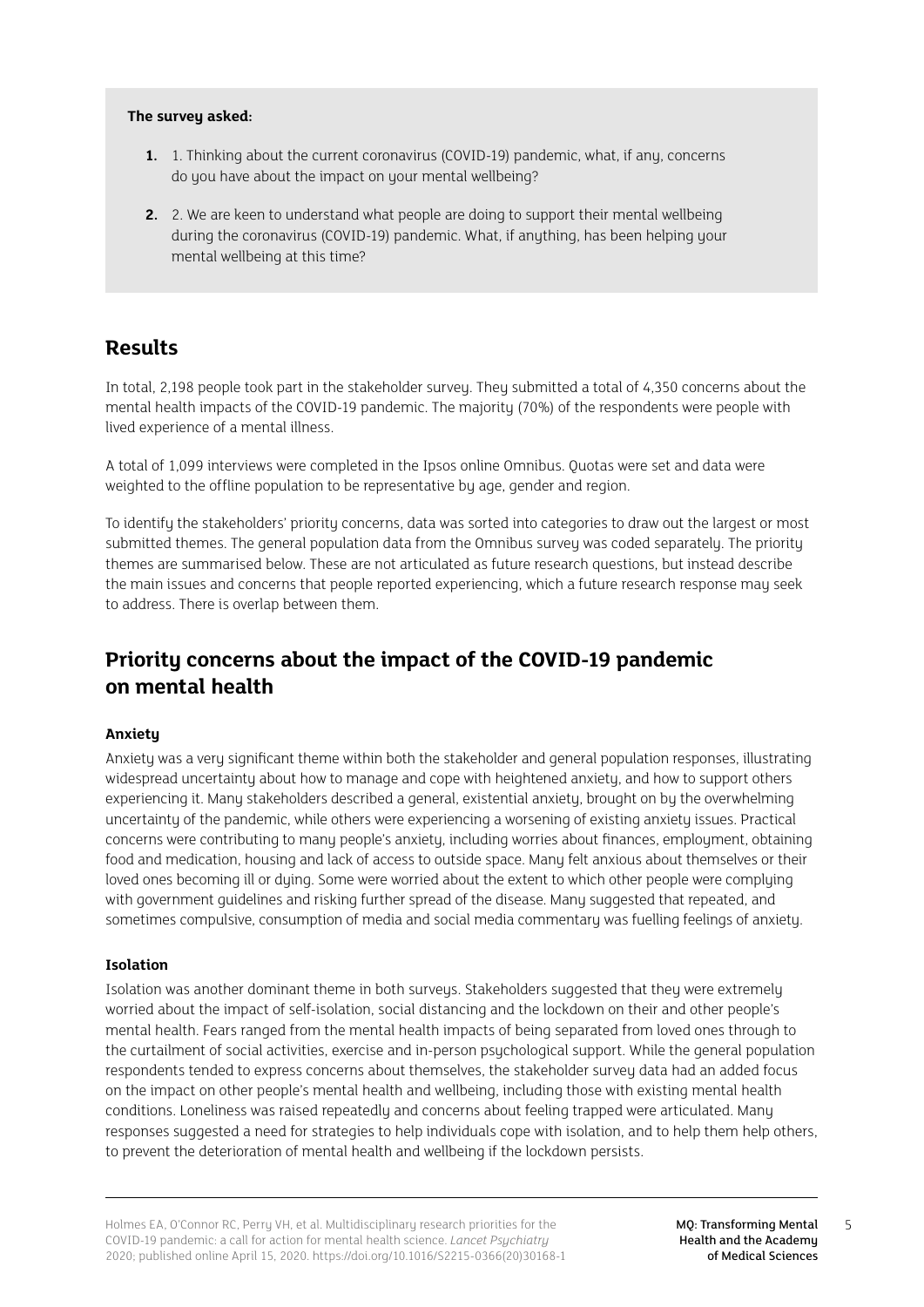### **The survey asked:**

- **1.** 1. Thinking about the current coronavirus (COVID-19) pandemic, what, if any, concerns do you have about the impact on your mental wellbeing?
- **2.** 2. We are keen to understand what people are doing to support their mental wellbeing during the coronavirus (COVID-19) pandemic. What, if anything, has been helping your mental wellbeing at this time?

## **Results**

In total, 2,198 people took part in the stakeholder survey. They submitted a total of 4,350 concerns about the mental health impacts of the COVID-19 pandemic. The majority (70%) of the respondents were people with lived experience of a mental illness.

A total of 1,099 interviews were completed in the Ipsos online Omnibus. Quotas were set and data were weighted to the offline population to be representative by age, gender and region.

To identify the stakeholders' priority concerns, data was sorted into categories to draw out the largest or most submitted themes. The general population data from the Omnibus survey was coded separately. The priority themes are summarised below. These are not articulated as future research questions, but instead describe the main issues and concerns that people reported experiencing, which a future research response may seek to address. There is overlap between them.

## **Priority concerns about the impact of the COVID-19 pandemic on mental health**

## **Anxiety**

Anxiety was a very significant theme within both the stakeholder and general population responses, illustrating widespread uncertainty about how to manage and cope with heightened anxiety, and how to support others experiencing it. Many stakeholders described a general, existential anxiety, brought on by the overwhelming uncertainty of the pandemic, while others were experiencing a worsening of existing anxiety issues. Practical concerns were contributing to many people's anxiety, including worries about finances, employment, obtaining food and medication, housing and lack of access to outside space. Many felt anxious about themselves or their loved ones becoming ill or duing. Some were worried about the extent to which other people were compluing with government guidelines and risking further spread of the disease. Many suggested that repeated, and sometimes compulsive, consumption of media and social media commentary was fuelling feelings of anxiety.

## **Isolation**

Isolation was another dominant theme in both surveys. Stakeholders suggested that they were extremely worried about the impact of self-isolation, social distancing and the lockdown on their and other people's mental health. Fears ranged from the mental health impacts of being separated from loved ones through to the curtailment of social activities, exercise and in-person psychological support. While the general population respondents tended to express concerns about themselves, the stakeholder survey data had an added focus on the impact on other people's mental health and wellbeing, including those with existing mental health conditions. Loneliness was raised repeatedly and concerns about feeling trapped were articulated. Many responses suggested a need for strategies to help individuals cope with isolation, and to help them help others, to prevent the deterioration of mental health and wellbeing if the lockdown persists.

5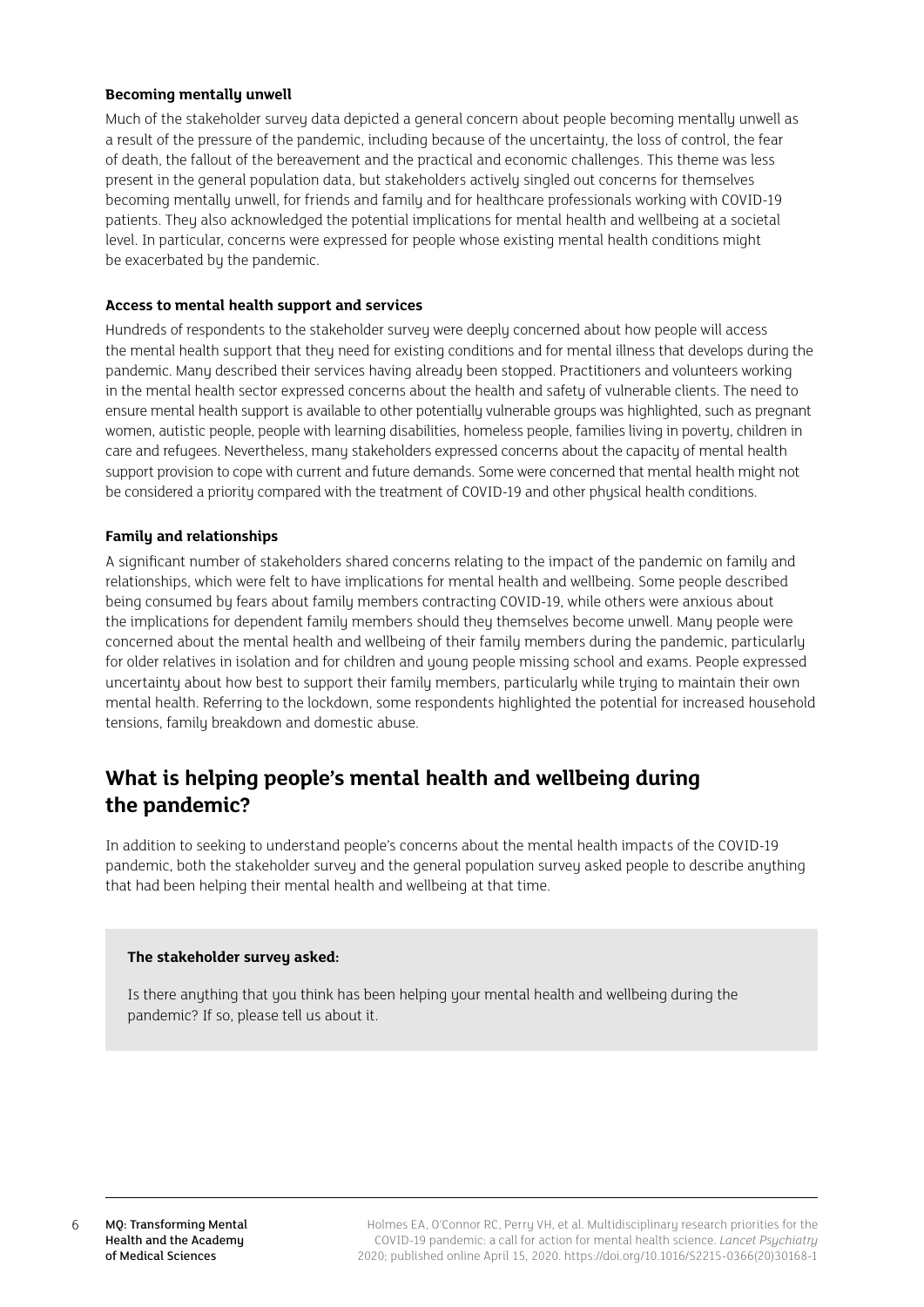## **Becoming mentally unwell**

Much of the stakeholder survey data depicted a general concern about people becoming mentally unwell as a result of the pressure of the pandemic, including because of the uncertainty, the loss of control, the fear of death, the fallout of the bereavement and the practical and economic challenges. This theme was less present in the general population data, but stakeholders actively singled out concerns for themselves becoming mentally unwell, for friends and family and for healthcare professionals working with COVID-19 patients. They also acknowledged the potential implications for mental health and wellbeing at a societal level. In particular, concerns were expressed for people whose existing mental health conditions might be exacerbated by the pandemic.

#### **Access to mental health support and services**

Hundreds of respondents to the stakeholder survey were deeply concerned about how people will access the mental health support that they need for existing conditions and for mental illness that develops during the pandemic. Many described their services having already been stopped. Practitioners and volunteers working in the mental health sector expressed concerns about the health and safety of vulnerable clients. The need to ensure mental health support is available to other potentially vulnerable groups was highlighted, such as pregnant women, autistic people, people with learning disabilities, homeless people, families living in poverty, children in care and refugees. Nevertheless, many stakeholders expressed concerns about the capacity of mental health support provision to cope with current and future demands. Some were concerned that mental health might not be considered a priority compared with the treatment of COVID-19 and other physical health conditions.

#### **Family and relationships**

A significant number of stakeholders shared concerns relating to the impact of the pandemic on family and relationships, which were felt to have implications for mental health and wellbeing. Some people described being consumed by fears about family members contracting COVID-19, while others were anxious about the implications for dependent family members should they themselves become unwell. Many people were concerned about the mental health and wellbeing of their family members during the pandemic, particularly for older relatives in isolation and for children and young people missing school and exams. People expressed uncertainty about how best to support their family members, particularly while trying to maintain their own mental health. Referring to the lockdown, some respondents highlighted the potential for increased household tensions, family breakdown and domestic abuse.

## **What is helping people's mental health and wellbeing during the pandemic?**

In addition to seeking to understand people's concerns about the mental health impacts of the COVID-19 pandemic, both the stakeholder survey and the general population survey asked people to describe anything that had been helping their mental health and wellbeing at that time.

#### **The stakeholder survey asked:**

Is there anuthing that you think has been helping your mental health and wellbeing during the pandemic? If so, please tell us about it.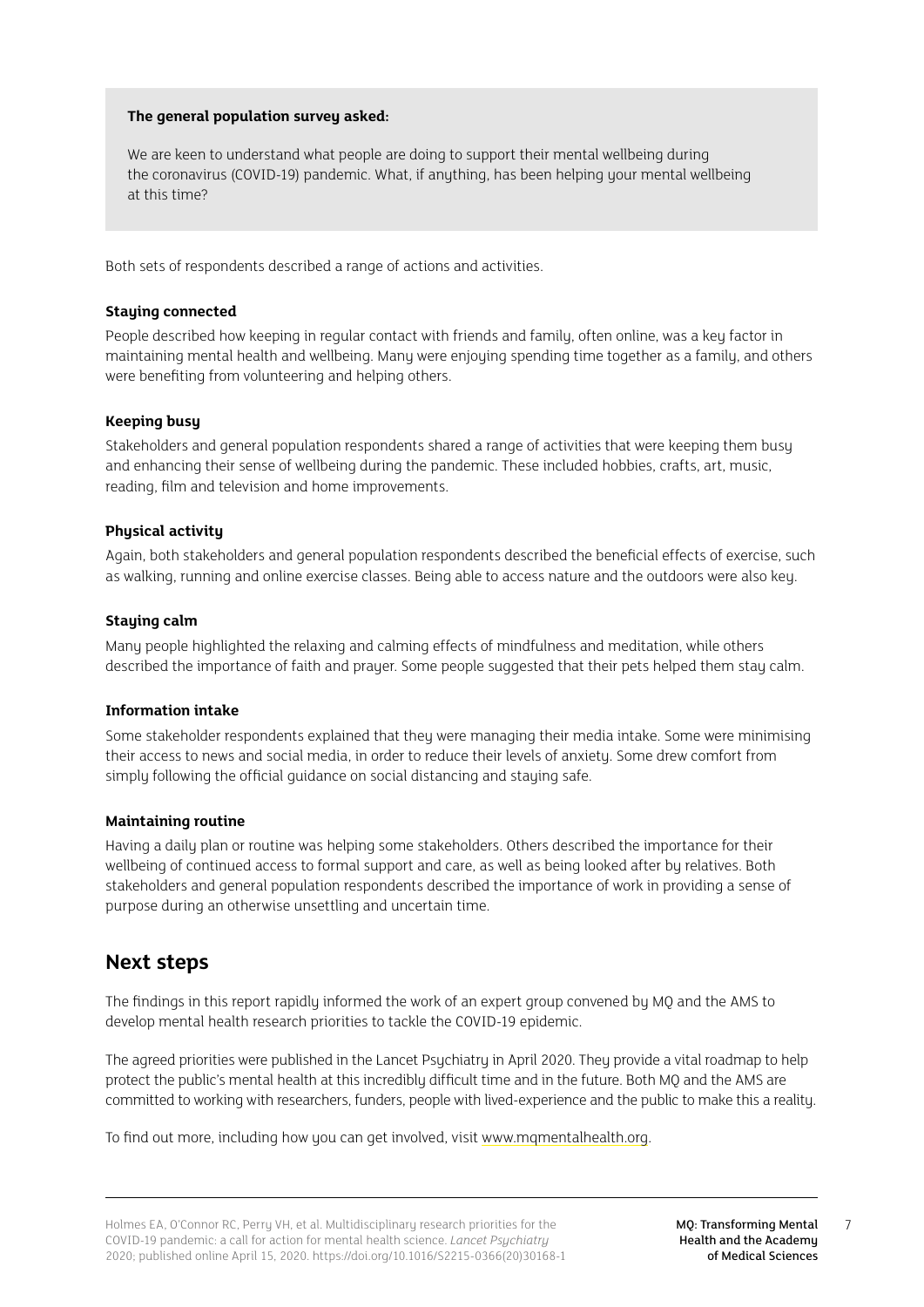## **The general population survey asked:**

We are keen to understand what people are doing to support their mental wellbeing during the coronavirus (COVID-19) pandemic. What, if anything, has been helping your mental wellbeing at this time?

Both sets of respondents described a range of actions and activities.

#### **Staying connected**

People described how keeping in regular contact with friends and family, often online, was a key factor in maintaining mental health and wellbeing. Many were enjoying spending time together as a family, and others were benefiting from volunteering and helping others.

### **Keeping busy**

Stakeholders and general population respondents shared a range of activities that were keeping them busy and enhancing their sense of wellbeing during the pandemic. These included hobbies, crafts, art, music, reading, film and television and home improvements.

### **Physical activity**

Again, both stakeholders and general population respondents described the beneficial effects of exercise, such as walking, running and online exercise classes. Being able to access nature and the outdoors were also key.

### **Staying calm**

Many people highlighted the relaxing and calming effects of mindfulness and meditation, while others described the importance of faith and prayer. Some people suggested that their pets helped them stay calm.

## **Information intake**

Some stakeholder respondents explained that they were managing their media intake. Some were minimising their access to news and social media, in order to reduce their levels of anxiety. Some drew comfort from simply following the official guidance on social distancing and staying safe.

## **Maintaining routine**

Having a daily plan or routine was helping some stakeholders. Others described the importance for their wellbeing of continued access to formal support and care, as well as being looked after by relatives. Both stakeholders and general population respondents described the importance of work in providing a sense of purpose during an otherwise unsettling and uncertain time.

## **Next steps**

The findings in this report rapidly informed the work of an expert group convened by MQ and the AMS to develop mental health research priorities to tackle the COVID-19 epidemic.

The agreed priorities were published in the Lancet Psychiatry in April 2020. They provide a vital roadmap to help protect the public's mental health at this incredibly difficult time and in the future. Both MQ and the AMS are committed to working with researchers, funders, people with lived-experience and the public to make this a reality.

To find out more, including how you can get involved, visit [www.mqmentalhealth.org.](http://www.mqmentalhealth.org)

7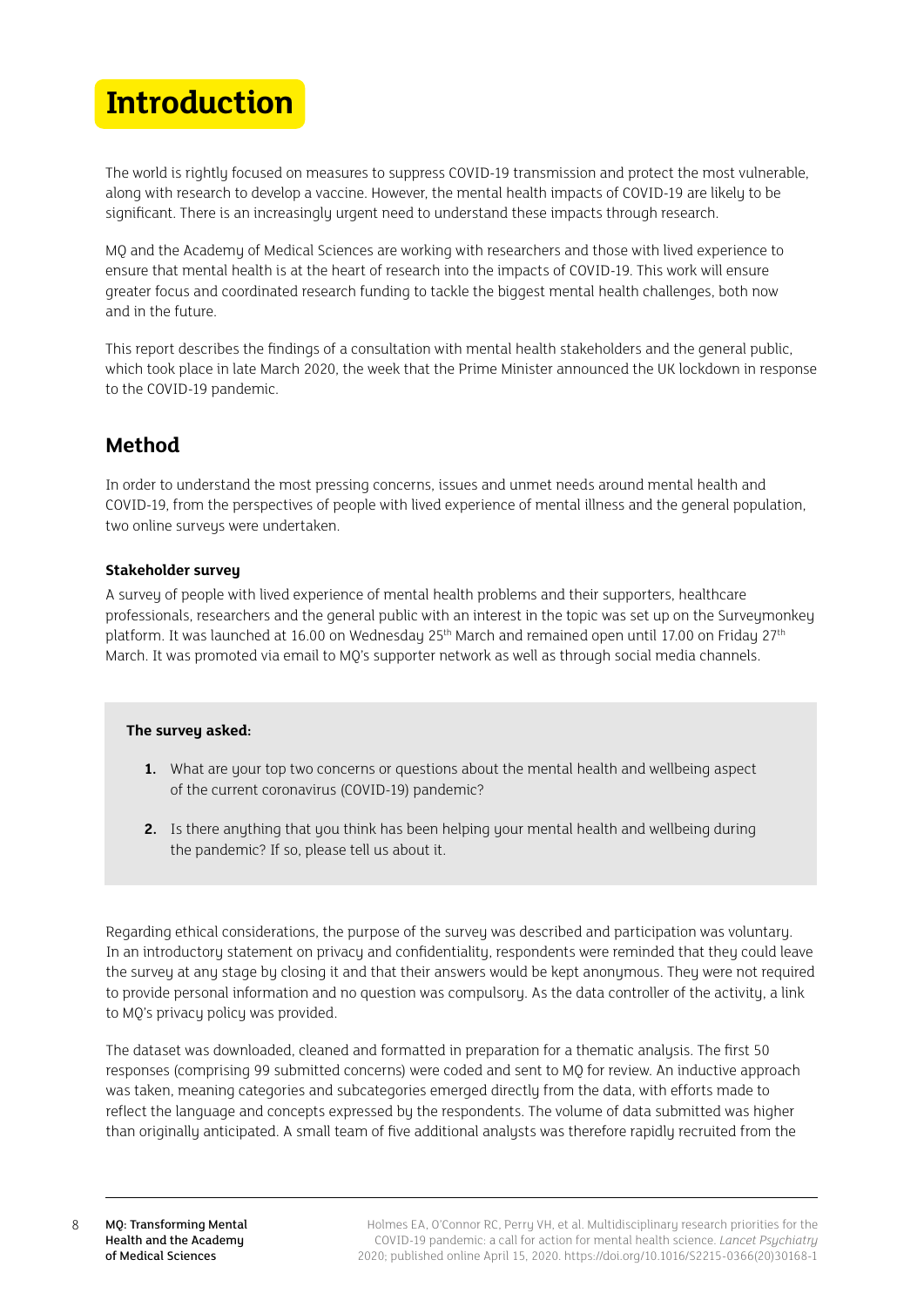## <span id="page-7-0"></span>**Introduction**

The world is rightly focused on measures to suppress COVID-19 transmission and protect the most vulnerable, along with research to develop a vaccine. However, the mental health impacts of COVID-19 are likely to be significant. There is an increasingly urgent need to understand these impacts through research.

MQ and the Academy of Medical Sciences are working with researchers and those with lived experience to ensure that mental health is at the heart of research into the impacts of COVID-19. This work will ensure greater focus and coordinated research funding to tackle the biggest mental health challenges, both now and in the future.

This report describes the findings of a consultation with mental health stakeholders and the general public, which took place in late March 2020, the week that the Prime Minister announced the UK lockdown in response to the COVID-19 pandemic.

## **Method**

In order to understand the most pressing concerns, issues and unmet needs around mental health and COVID-19, from the perspectives of people with lived experience of mental illness and the general population, two online surveys were undertaken.

## **Stakeholder survey**

A survey of people with lived experience of mental health problems and their supporters, healthcare professionals, researchers and the general public with an interest in the topic was set up on the Surveymonkey platform. It was launched at 16.00 on Wednesday 25<sup>th</sup> March and remained open until 17.00 on Friday 27<sup>th</sup> March. It was promoted via email to MQ's supporter network as well as through social media channels.

## **The survey asked:**

- **1.** What are your top two concerns or questions about the mental health and wellbeing aspect of the current coronavirus (COVID-19) pandemic?
- **2.** Is there anything that you think has been helping your mental health and wellbeing during the pandemic? If so, please tell us about it.

Regarding ethical considerations, the purpose of the survey was described and participation was voluntary. In an introductory statement on privacy and confidentiality, respondents were reminded that they could leave the survey at any stage by closing it and that their answers would be kept anonymous. They were not required to provide personal information and no question was compulsory. As the data controller of the activity, a link to MQ's privacy policy was provided.

The dataset was downloaded, cleaned and formatted in preparation for a thematic analysis. The first 50 responses (comprising 99 submitted concerns) were coded and sent to MQ for review. An inductive approach was taken, meaning categories and subcategories emerged directly from the data, with efforts made to reflect the language and concepts expressed by the respondents. The volume of data submitted was higher than originally anticipated. A small team of five additional analysts was therefore rapidly recruited from the

8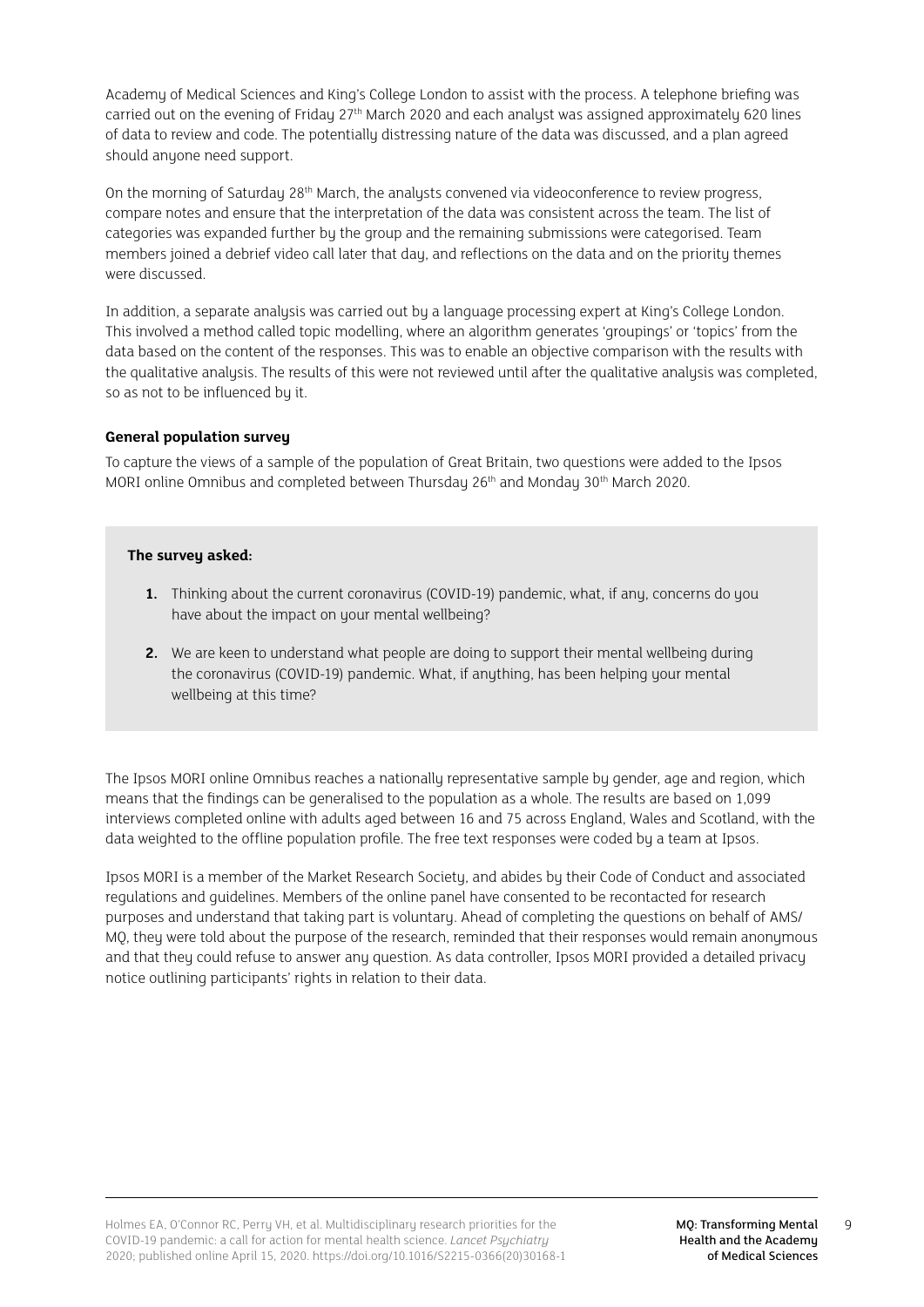Academy of Medical Sciences and King's College London to assist with the process. A telephone briefing was carried out on the evening of Friday 27th March 2020 and each analyst was assigned approximately 620 lines of data to review and code. The potentially distressing nature of the data was discussed, and a plan agreed should anyone need support.

On the morning of Saturday 28<sup>th</sup> March, the analysts convened via videoconference to review progress, compare notes and ensure that the interpretation of the data was consistent across the team. The list of categories was expanded further by the group and the remaining submissions were categorised. Team members joined a debrief video call later that day, and reflections on the data and on the priority themes were discussed.

In addition, a separate analysis was carried out by a language processing expert at King's College London. This involved a method called topic modelling, where an algorithm generates 'groupings' or 'topics' from the data based on the content of the responses. This was to enable an objective comparison with the results with the qualitative analysis. The results of this were not reviewed until after the qualitative analysis was completed, so as not to be influenced by it.

## **General population survey**

To capture the views of a sample of the population of Great Britain, two questions were added to the Ipsos MORI online Omnibus and completed between Thursday 26th and Monday 30th March 2020.

## The surveu asked:

- **1.** Thinking about the current coronavirus (COVID-19) pandemic, what, if any, concerns do you have about the impact on your mental wellbeing?
- **2.** We are keen to understand what people are doing to support their mental wellbeing during the coronavirus (COVID-19) pandemic. What, if anything, has been helping your mental wellbeing at this time?

The Ipsos MORI online Omnibus reaches a nationally representative sample by gender, age and region, which means that the findings can be generalised to the population as a whole. The results are based on 1,099 interviews completed online with adults aged between 16 and 75 across England, Wales and Scotland, with the data weighted to the offline population profile. The free text responses were coded by a team at Ipsos.

Ipsos MORI is a member of the Market Research Society, and abides by their Code of Conduct and associated regulations and guidelines. Members of the online panel have consented to be recontacted for research purposes and understand that taking part is voluntary. Ahead of completing the questions on behalf of AMS/ MQ, they were told about the purpose of the research, reminded that their responses would remain anonymous and that they could refuse to answer any question. As data controller, Ipsos MORI provided a detailed privacy notice outlining participants' rights in relation to their data.

9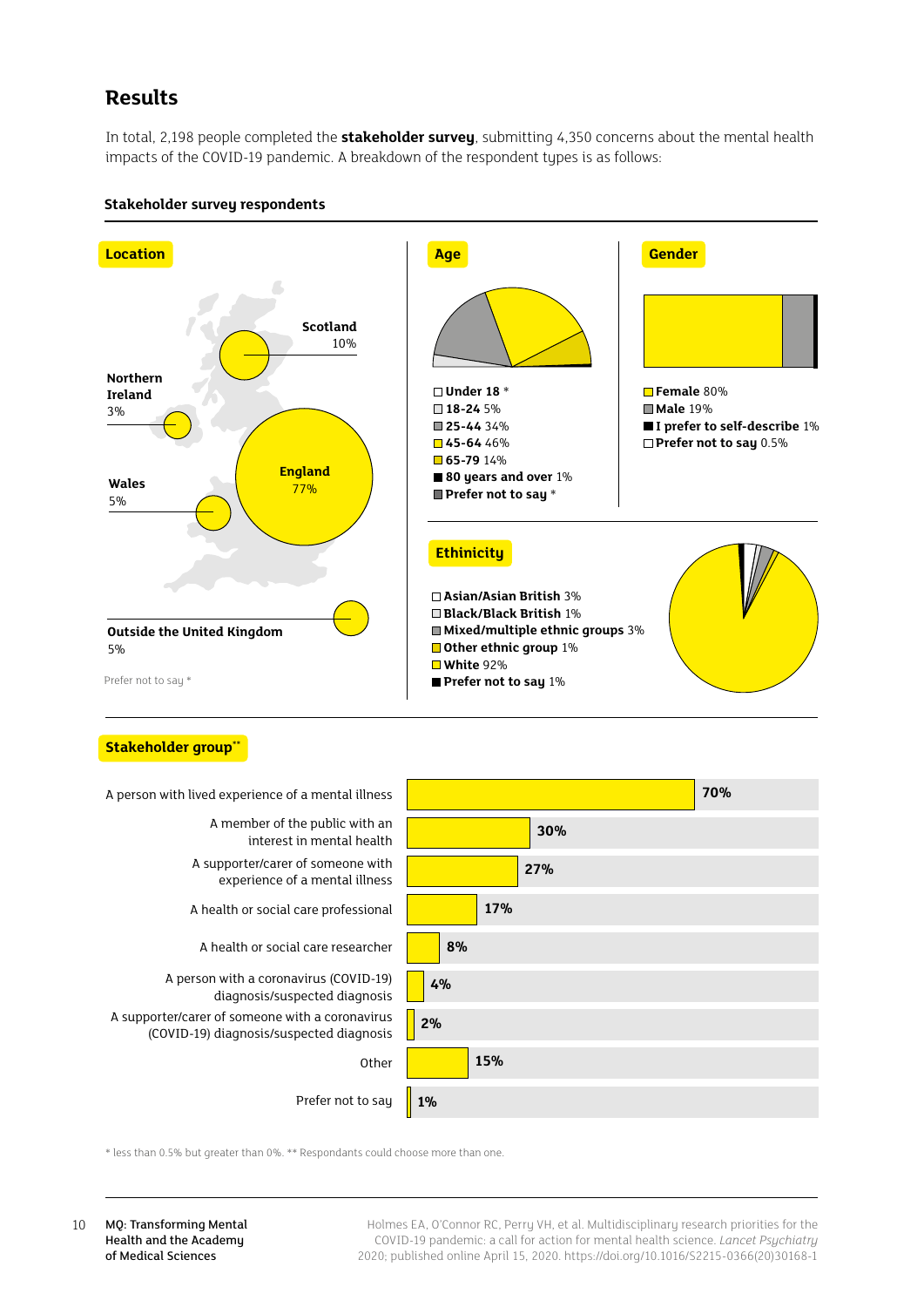## <span id="page-9-0"></span>**Results**

In total, 2,198 people completed the **stakeholder survey**, submitting 4,350 concerns about the mental health impacts of the COVID-19 pandemic. A breakdown of the respondent types is as follows:



#### **Stakeholder survey respondents**

#### **Stakeholder group\*\***



\* less than 0.5% but greater than 0%. \*\* Respondants could choose more than one.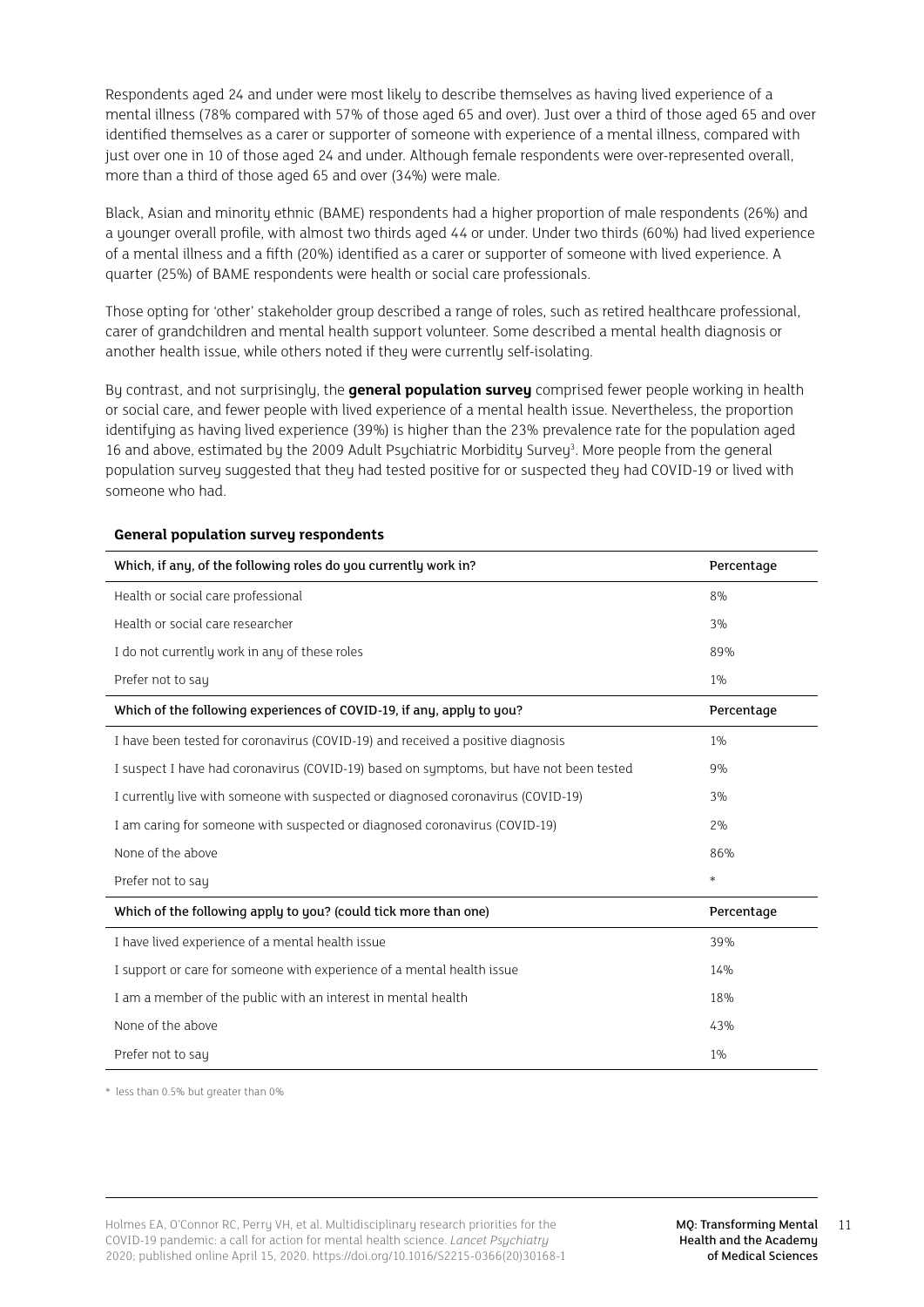Respondents aged 24 and under were most likely to describe themselves as having lived experience of a mental illness (78% compared with 57% of those aged 65 and over). Just over a third of those aged 65 and over identified themselves as a carer or supporter of someone with experience of a mental illness, compared with just over one in 10 of those aged 24 and under. Although female respondents were over-represented overall, more than a third of those aged 65 and over (34%) were male.

Black, Asian and minority ethnic (BAME) respondents had a higher proportion of male respondents (26%) and a younger overall profile, with almost two thirds aged 44 or under. Under two thirds (60%) had lived experience of a mental illness and a fifth (20%) identified as a carer or supporter of someone with lived experience. A quarter (25%) of BAME respondents were health or social care professionals.

Those opting for 'other' stakeholder group described a range of roles, such as retired healthcare professional, carer of grandchildren and mental health support volunteer. Some described a mental health diagnosis or another health issue, while others noted if they were currently self-isolating.

By contrast, and not surprisingly, the **general population survey** comprised fewer people working in health or social care, and fewer people with lived experience of a mental health issue. Nevertheless, the proportion identifying as having lived experience (39%) is higher than the 23% prevalence rate for the population aged 16 and above, estimated by the 2009 Adult Psychiatric Morbidity Survey<sup>3</sup>. More people from the general population survey suggested that they had tested positive for or suspected they had COVID-19 or lived with someone who had.

| Which, if any, of the following roles do you currently work in?                         | Percentage |
|-----------------------------------------------------------------------------------------|------------|
| Health or social care professional                                                      | 8%         |
| Health or social care researcher                                                        | 3%         |
| I do not currently work in any of these roles                                           | 89%        |
| Prefer not to say                                                                       | $1\%$      |
| Which of the following experiences of COVID-19, if any, apply to you?                   | Percentage |
| I have been tested for coronavirus (COVID-19) and received a positive diagnosis         | 1%         |
| I suspect I have had coronavirus (COVID-19) based on symptoms, but have not been tested | 9%         |
| I currently live with someone with suspected or diagnosed coronavirus (COVID-19)        | 3%         |
| I am caring for someone with suspected or diagnosed coronavirus (COVID-19)              | 2%         |
| None of the above                                                                       | 86%        |
| Prefer not to say                                                                       | $\ast$     |
| Which of the following apply to you? (could tick more than one)                         | Percentage |
| I have lived experience of a mental health issue                                        | 39%        |
| I support or care for someone with experience of a mental health issue                  | 14%        |
| I am a member of the public with an interest in mental health                           | 18%        |
| None of the above                                                                       | 43%        |
| Prefer not to say                                                                       | 1%         |

#### **General population survey respondents**

\* less than 0.5% but greater than 0%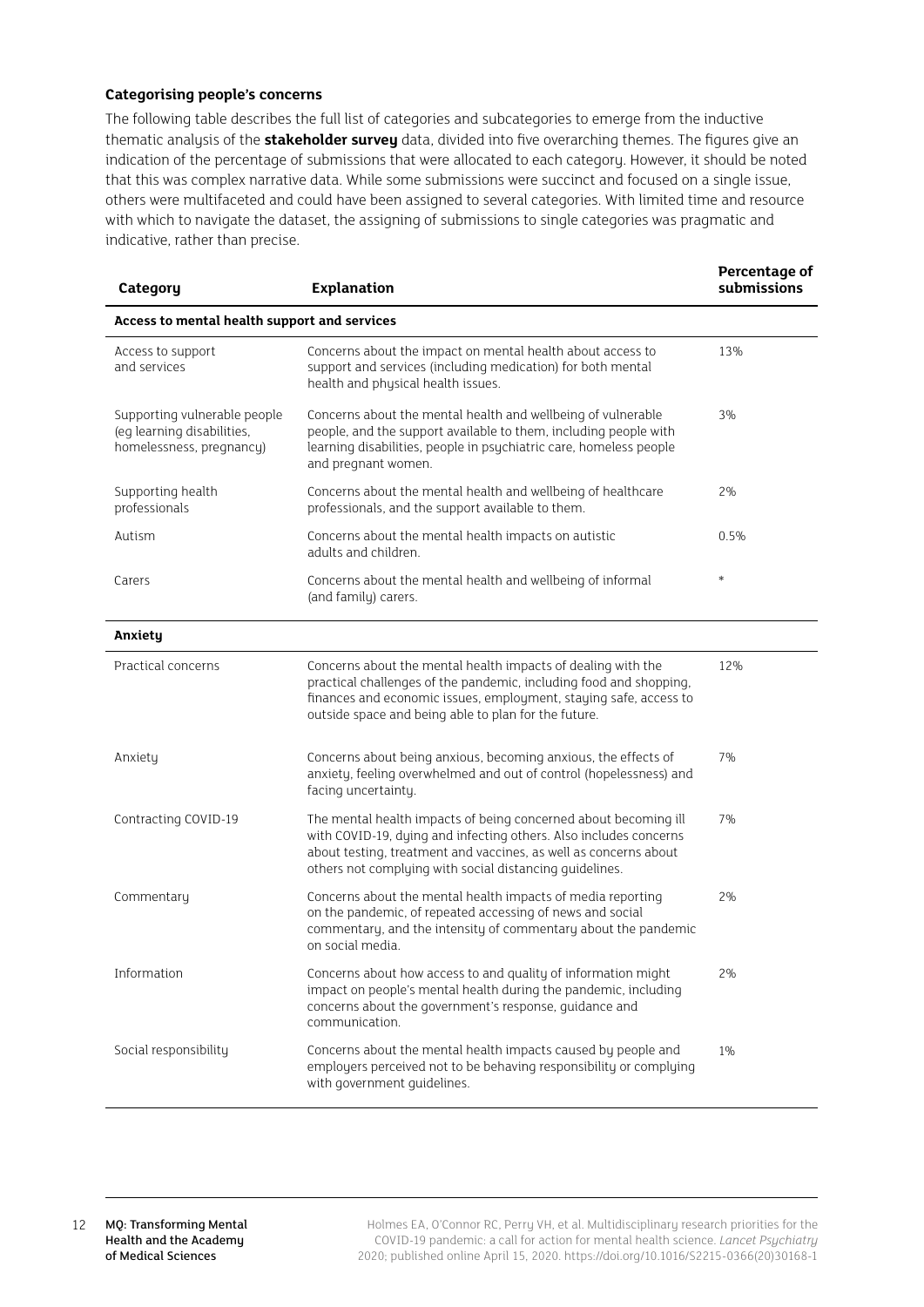## **Categorising people's concerns**

The following table describes the full list of categories and subcategories to emerge from the inductive thematic analysis of the **stakeholder survey** data, divided into five overarching themes. The figures give an indication of the percentage of submissions that were allocated to each category. However, it should be noted that this was complex narrative data. While some submissions were succinct and focused on a single issue, others were multifaceted and could have been assigned to several categories. With limited time and resource with which to navigate the dataset, the assigning of submissions to single categories was pragmatic and indicative, rather than precise.

| Category                                                                               | <b>Explanation</b>                                                                                                                                                                                                                                                  | Percentage of<br>submissions |  |  |
|----------------------------------------------------------------------------------------|---------------------------------------------------------------------------------------------------------------------------------------------------------------------------------------------------------------------------------------------------------------------|------------------------------|--|--|
| Access to mental health support and services                                           |                                                                                                                                                                                                                                                                     |                              |  |  |
| Access to support<br>and services                                                      | Concerns about the impact on mental health about access to<br>support and services (including medication) for both mental<br>health and physical health issues.                                                                                                     | 13%                          |  |  |
| Supporting vulnerable people<br>(eg learning disabilities,<br>homelessness, pregnancy) | Concerns about the mental health and wellbeing of vulnerable<br>people, and the support available to them, including people with<br>learning disabilities, people in psychiatric care, homeless people<br>and pregnant women.                                       | 3%                           |  |  |
| Supporting health<br>professionals                                                     | Concerns about the mental health and wellbeing of healthcare<br>professionals, and the support available to them.                                                                                                                                                   | 2%                           |  |  |
| Autism                                                                                 | Concerns about the mental health impacts on autistic<br>adults and children.                                                                                                                                                                                        | 0.5%                         |  |  |
| Carers                                                                                 | Concerns about the mental health and wellbeing of informal<br>(and family) carers.                                                                                                                                                                                  | *                            |  |  |
| Anxiety                                                                                |                                                                                                                                                                                                                                                                     |                              |  |  |
| Practical concerns                                                                     | Concerns about the mental health impacts of dealing with the<br>practical challenges of the pandemic, including food and shopping,<br>finances and economic issues, employment, staying safe, access to<br>outside space and being able to plan for the future.     | 12%                          |  |  |
| Anxiety                                                                                | Concerns about being anxious, becoming anxious, the effects of<br>anxiety, feeling overwhelmed and out of control (hopelessness) and<br>facing uncertainty.                                                                                                         | 7%                           |  |  |
| Contracting COVID-19                                                                   | The mental health impacts of being concerned about becoming ill<br>with COVID-19, dying and infecting others. Also includes concerns<br>about testing, treatment and vaccines, as well as concerns about<br>others not complying with social distancing quidelines. | 7%                           |  |  |
| Commentary                                                                             | Concerns about the mental health impacts of media reporting<br>on the pandemic, of repeated accessing of news and social<br>commentary, and the intensity of commentary about the pandemic<br>on social media.                                                      | 2%                           |  |  |
| Information                                                                            | Concerns about how access to and quality of information might<br>impact on people's mental health during the pandemic, including<br>concerns about the government's response, quidance and<br>communication.                                                        | 2%                           |  |  |
| Social responsibility                                                                  | Concerns about the mental health impacts caused by people and<br>employers perceived not to be behaving responsibility or complying<br>with government guidelines.                                                                                                  | $1\%$                        |  |  |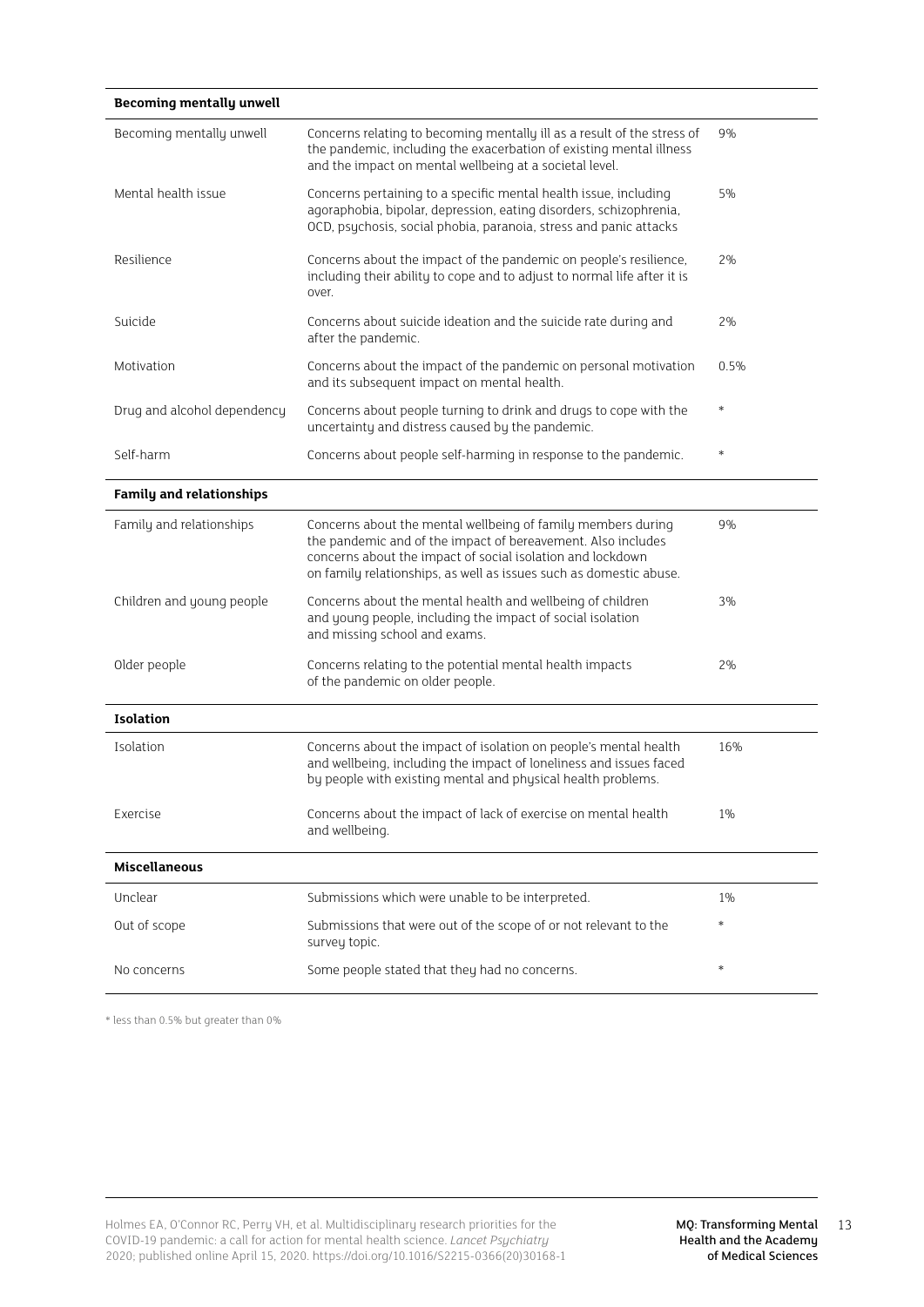| <b>Becoming mentally unwell</b> |                                                                                                                                                                                                                                                                  |        |
|---------------------------------|------------------------------------------------------------------------------------------------------------------------------------------------------------------------------------------------------------------------------------------------------------------|--------|
| Becoming mentally unwell        | Concerns relating to becoming mentally ill as a result of the stress of<br>the pandemic, including the exacerbation of existing mental illness<br>and the impact on mental wellbeing at a societal level.                                                        | 9%     |
| Mental health issue             | Concerns pertaining to a specific mental health issue, including<br>agoraphobia, bipolar, depression, eating disorders, schizophrenia,<br>OCD, psychosis, social phobia, paranoia, stress and panic attacks                                                      | 5%     |
| Resilience                      | Concerns about the impact of the pandemic on people's resilience,<br>including their ability to cope and to adjust to normal life after it is<br>over.                                                                                                           | 2%     |
| Suicide                         | Concerns about suicide ideation and the suicide rate during and<br>after the pandemic.                                                                                                                                                                           | 2%     |
| Motivation                      | Concerns about the impact of the pandemic on personal motivation<br>and its subsequent impact on mental health.                                                                                                                                                  | 0.5%   |
| Drug and alcohol dependency     | Concerns about people turning to drink and drugs to cope with the<br>uncertainty and distress caused by the pandemic.                                                                                                                                            | $\ast$ |
| Self-harm                       | Concerns about people self-harming in response to the pandemic.                                                                                                                                                                                                  | $\ast$ |
| <b>Family and relationships</b> |                                                                                                                                                                                                                                                                  |        |
| Family and relationships        | Concerns about the mental wellbeing of family members during<br>the pandemic and of the impact of bereavement. Also includes<br>concerns about the impact of social isolation and lockdown<br>on family relationships, as well as issues such as domestic abuse. | 9%     |
| Children and young people       | Concerns about the mental health and wellbeing of children<br>and young people, including the impact of social isolation<br>and missing school and exams.                                                                                                        | 3%     |
| Older people                    | Concerns relating to the potential mental health impacts<br>of the pandemic on older people.                                                                                                                                                                     | 2%     |
| <b>Isolation</b>                |                                                                                                                                                                                                                                                                  |        |
| Isolation                       | Concerns about the impact of isolation on people's mental health<br>and wellbeing, including the impact of loneliness and issues faced<br>by people with existing mental and physical health problems.                                                           | 16%    |
| Exercise                        | Concerns about the impact of lack of exercise on mental health<br>and wellbeing.                                                                                                                                                                                 | 1%     |
| <b>Miscellaneous</b>            |                                                                                                                                                                                                                                                                  |        |
| Unclear                         | Submissions which were unable to be interpreted.                                                                                                                                                                                                                 | $1\%$  |
| Out of scope                    | Submissions that were out of the scope of or not relevant to the<br>survey topic.                                                                                                                                                                                | *      |
| No concerns                     | Some people stated that they had no concerns.                                                                                                                                                                                                                    | $\ast$ |

\* less than 0.5% but greater than 0%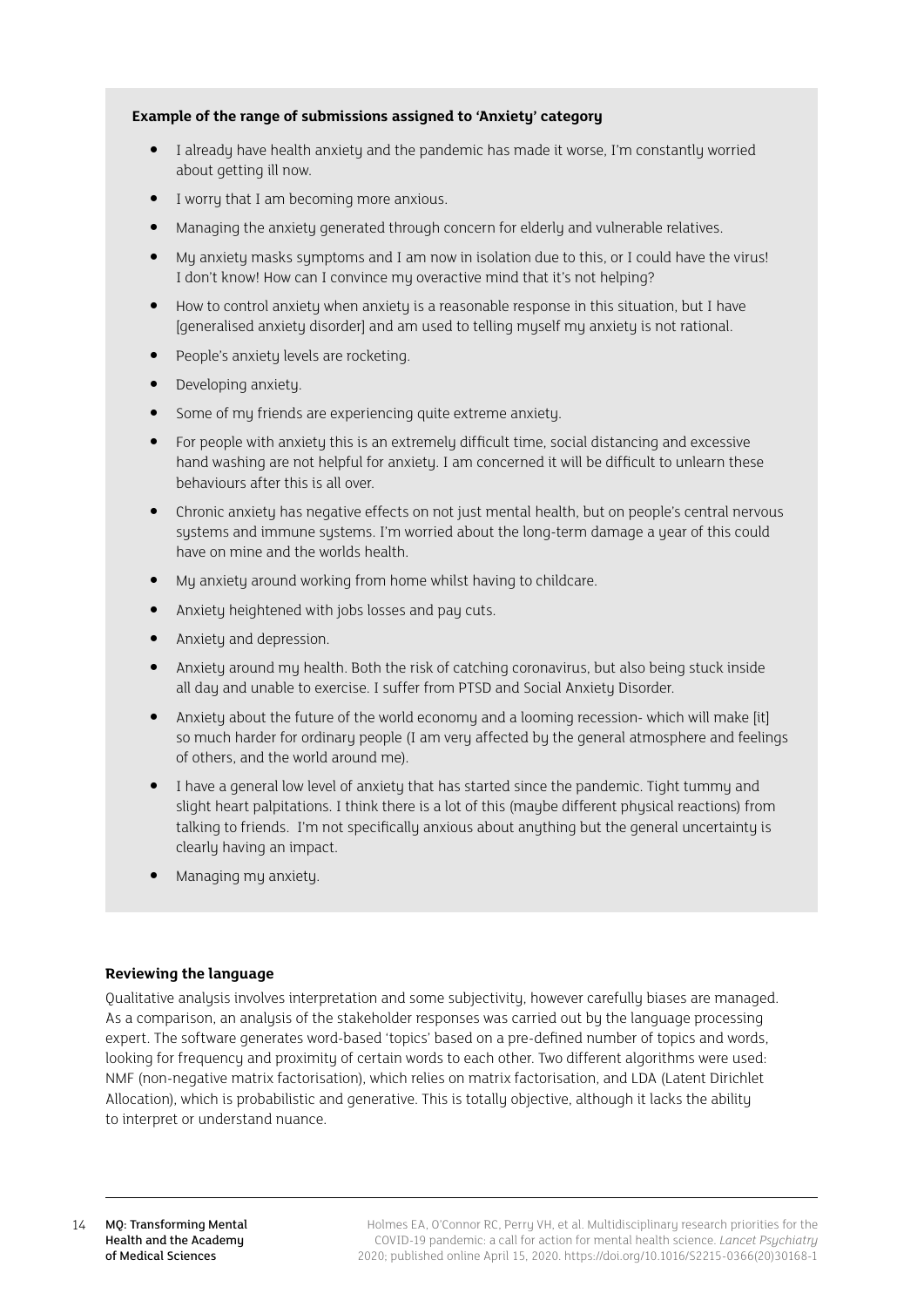### **Example of the range of submissions assigned to 'Anxiety' category**

- I alreadu have health anxietu and the pandemic has made it worse. I'm constantlu worried about getting ill now.
- I worry that I am becoming more anxious.
- Managing the anxiety generated through concern for elderly and vulnerable relatives.
- My anxiety masks symptoms and I am now in isolation due to this, or I could have the virus! I don't know! How can I convince my overactive mind that it's not helping?
- How to control anxiety when anxiety is a reasonable response in this situation, but I have [generalised anxiety disorder] and am used to telling myself my anxiety is not rational.
- People's anxiety levels are rocketing.
- Developing anxiety.
- Some of my friends are experiencing quite extreme anxiety.
- For people with anxiety this is an extremely difficult time, social distancing and excessive hand washing are not helpful for anxiety. I am concerned it will be difficult to unlearn these behaviours after this is all over.
- Chronic anxiety has negative effects on not just mental health, but on people's central nervous systems and immune systems. I'm worried about the long-term damage a year of this could have on mine and the worlds health.
- My anxiety around working from home whilst having to childcare.
- Anxiety heightened with jobs losses and pay cuts.
- Anxiety and depression.
- Anxiety around my health. Both the risk of catching coronavirus, but also being stuck inside all day and unable to exercise. I suffer from PTSD and Social Anxiety Disorder.
- Anxiety about the future of the world economy and a looming recession- which will make [it] so much harder for ordinary people (I am very affected by the general atmosphere and feelings of others, and the world around me).
- I have a general low level of anxiety that has started since the pandemic. Tight tummy and slight heart palpitations. I think there is a lot of this (maybe different physical reactions) from talking to friends. I'm not specifically anxious about anything but the general uncertainty is clearly having an impact.
- Managing my anxiety.

## **Reviewing the language**

Qualitative analysis involves interpretation and some subjectivity, however carefully biases are managed. As a comparison, an analysis of the stakeholder responses was carried out by the language processing expert. The software generates word-based 'topics' based on a pre-defined number of topics and words, looking for frequency and proximity of certain words to each other. Two different algorithms were used: NMF (non-negative matrix factorisation), which relies on matrix factorisation, and LDA (Latent Dirichlet Allocation), which is probabilistic and generative. This is totally objective, although it lacks the ability to interpret or understand nuance.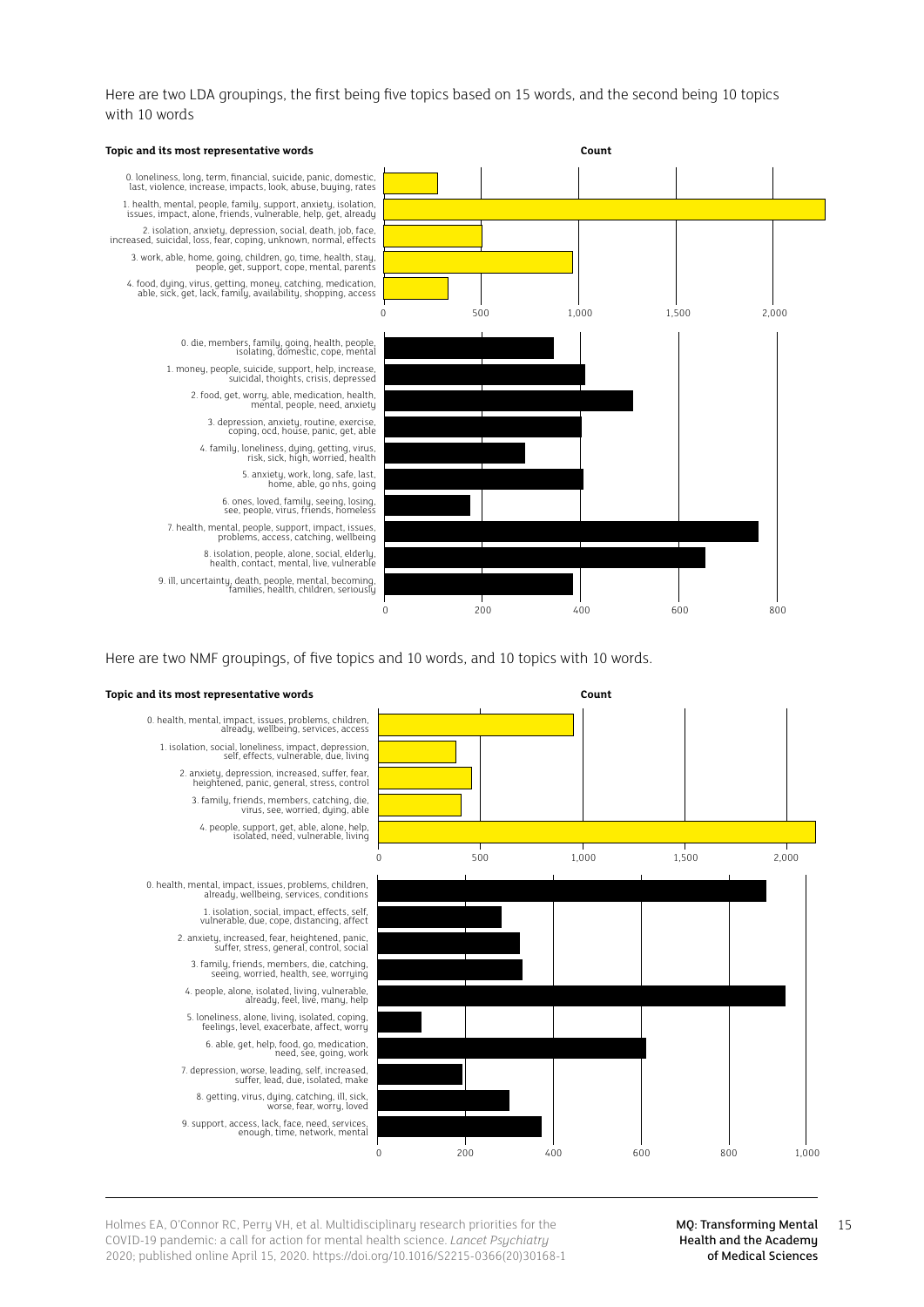Here are two LDA groupings, the first being five topics based on 15 words, and the second being 10 topics with 10 words



Here are two NMF groupings, of five topics and 10 words, and 10 topics with 10 words.

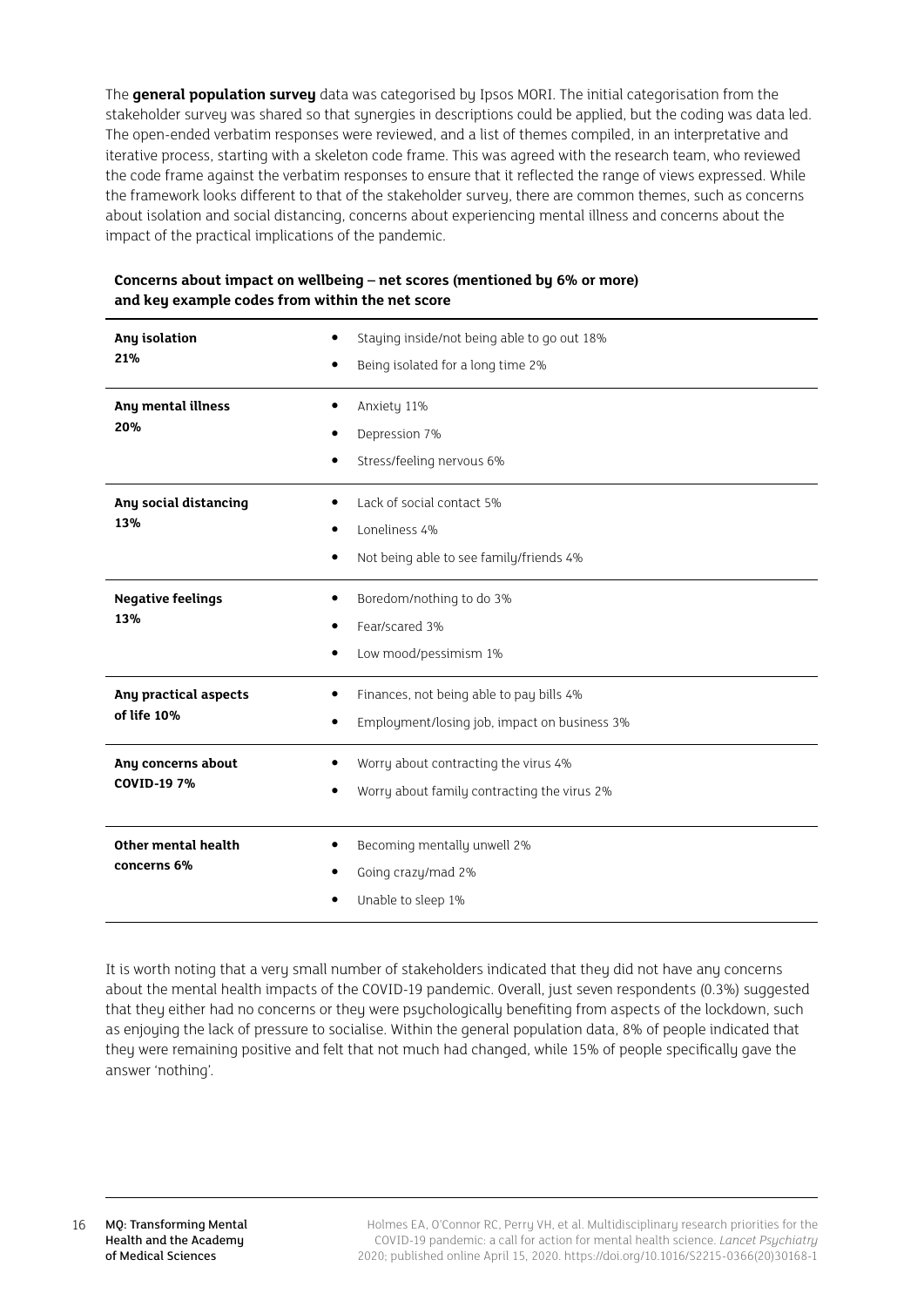The **general population survey** data was categorised by Ipsos MORI. The initial categorisation from the stakeholder survey was shared so that synergies in descriptions could be applied, but the coding was data led. The open-ended verbatim responses were reviewed, and a list of themes compiled, in an interpretative and iterative process, starting with a skeleton code frame. This was agreed with the research team, who reviewed the code frame against the verbatim responses to ensure that it reflected the range of views expressed. While the framework looks different to that of the stakeholder survey, there are common themes, such as concerns about isolation and social distancing, concerns about experiencing mental illness and concerns about the impact of the practical implications of the pandemic.

| Any isolation<br>21%<br>٠                      | Staying inside/not being able to go out 18%<br>Being isolated for a long time 2%         |
|------------------------------------------------|------------------------------------------------------------------------------------------|
| Any mental illness<br>20%<br>٠<br>٠            | Anxiety 11%<br>Depression 7%<br>Stress/feeling nervous 6%                                |
| Any social distancing<br>٠<br>13%<br>٠<br>٠    | Lack of social contact 5%<br>Loneliness 4%<br>Not being able to see family/friends 4%    |
| <b>Negative feelings</b><br>٠<br>13%<br>٠      | Boredom/nothing to do 3%<br>Fear/scared 3%<br>Low mood/pessimism 1%                      |
| Any practical aspects<br>٠<br>of life 10%<br>٠ | Finances, not being able to pay bills 4%<br>Employment/losing job, impact on business 3% |
| Any concerns about<br><b>COVID-19 7%</b><br>٠  | Worry about contracting the virus 4%<br>Worry about family contracting the virus 2%      |
| Other mental health<br>٠<br>concerns 6%        | Becoming mentally unwell 2%<br>Going crazy/mad 2%<br>Unable to sleep 1%                  |

## **Concerns about impact on wellbeing – net scores (mentioned by 6% or more) and key example codes from within the net score**

It is worth noting that a very small number of stakeholders indicated that they did not have any concerns about the mental health impacts of the COVID-19 pandemic. Overall, just seven respondents (0.3%) suggested that they either had no concerns or they were psychologically benefiting from aspects of the lockdown, such as enjoying the lack of pressure to socialise. Within the general population data, 8% of people indicated that they were remaining positive and felt that not much had changed, while 15% of people specifically gave the answer 'nothing'.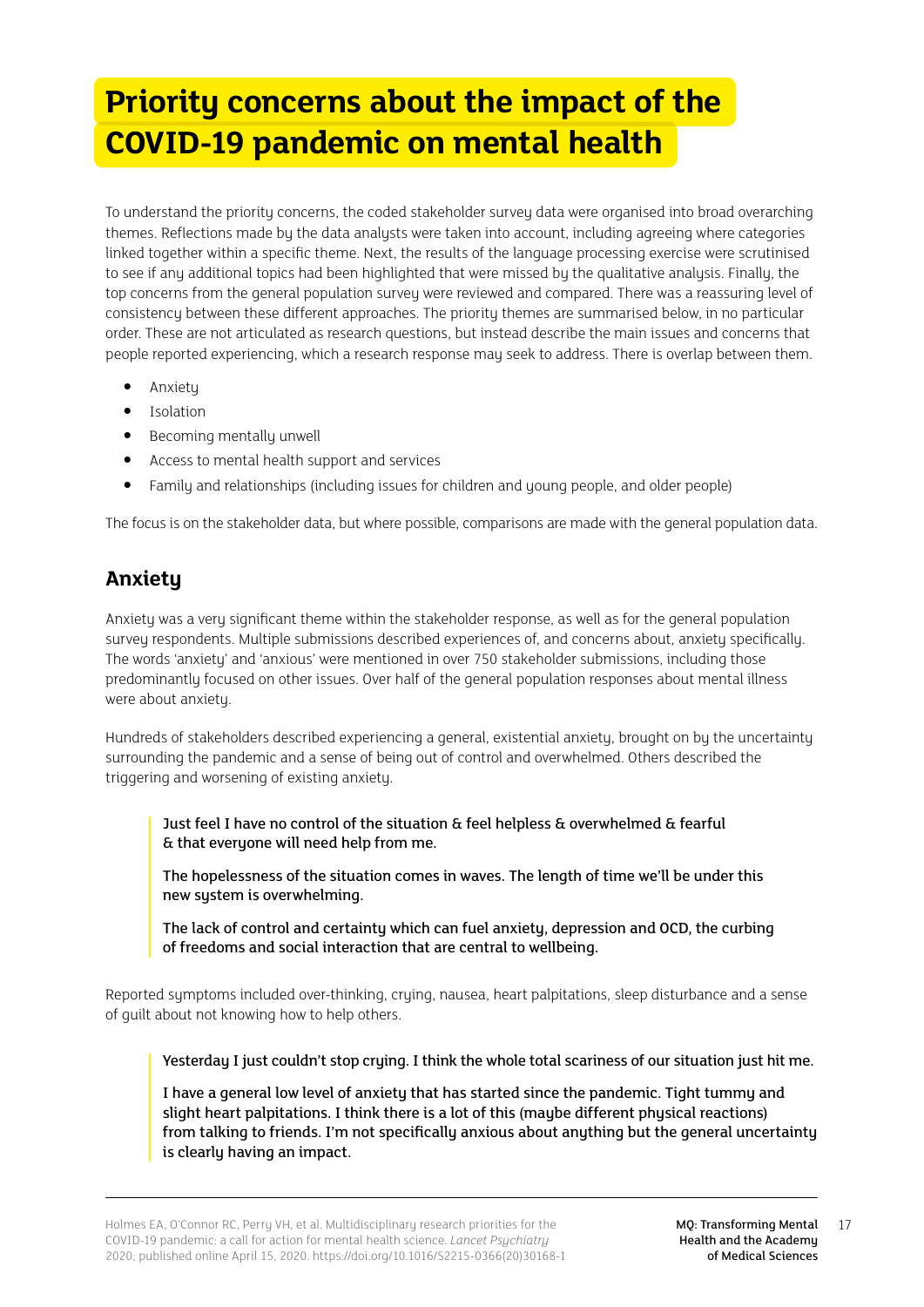## <span id="page-16-0"></span>**Priority concerns about the impact of the COVID-19 pandemic on mental health**

To understand the priority concerns, the coded stakeholder survey data were organised into broad overarching themes. Reflections made by the data analysts were taken into account, including agreeing where categories linked together within a specific theme. Next, the results of the language processing exercise were scrutinised to see if any additional topics had been highlighted that were missed by the qualitative analysis. Finally, the top concerns from the general population survey were reviewed and compared. There was a reassuring level of consistency between these different approaches. The priority themes are summarised below, in no particular order. These are not articulated as research questions, but instead describe the main issues and concerns that people reported experiencing, which a research response may seek to address. There is overlap between them.

- Anxiety
- Isolation
- Becoming mentally unwell
- Access to mental health support and services
- Family and relationships (including issues for children and young people, and older people)

The focus is on the stakeholder data, but where possible, comparisons are made with the general population data.

## **Anxiety**

Anxiety was a very significant theme within the stakeholder response, as well as for the general population survey respondents. Multiple submissions described experiences of, and concerns about, anxiety specifically. The words 'anxiety' and 'anxious' were mentioned in over 750 stakeholder submissions, including those predominantly focused on other issues. Over half of the general population responses about mental illness were about anxiety.

Hundreds of stakeholders described experiencing a general, existential anxiety, brought on by the uncertainty surrounding the pandemic and a sense of being out of control and overwhelmed. Others described the triggering and worsening of existing anxiety.

Just feel I have no control of the situation & feel helpless & overwhelmed & fearful & that everyone will need help from me.

The hopelessness of the situation comes in waves. The length of time we'll be under this new system is overwhelming.

The lack of control and certainty which can fuel anxiety, depression and OCD, the curbing of freedoms and social interaction that are central to wellbeing.

Reported symptoms included over-thinking, crying, nausea, heart palpitations, sleep disturbance and a sense of guilt about not knowing how to help others.

Yesterday I just couldn't stop crying. I think the whole total scariness of our situation just hit me.

I have a general low level of anxiety that has started since the pandemic. Tight tummy and slight heart palpitations. I think there is a lot of this (maybe different physical reactions) from talking to friends. I'm not specifically anxious about anything but the general uncertainty is clearly having an impact.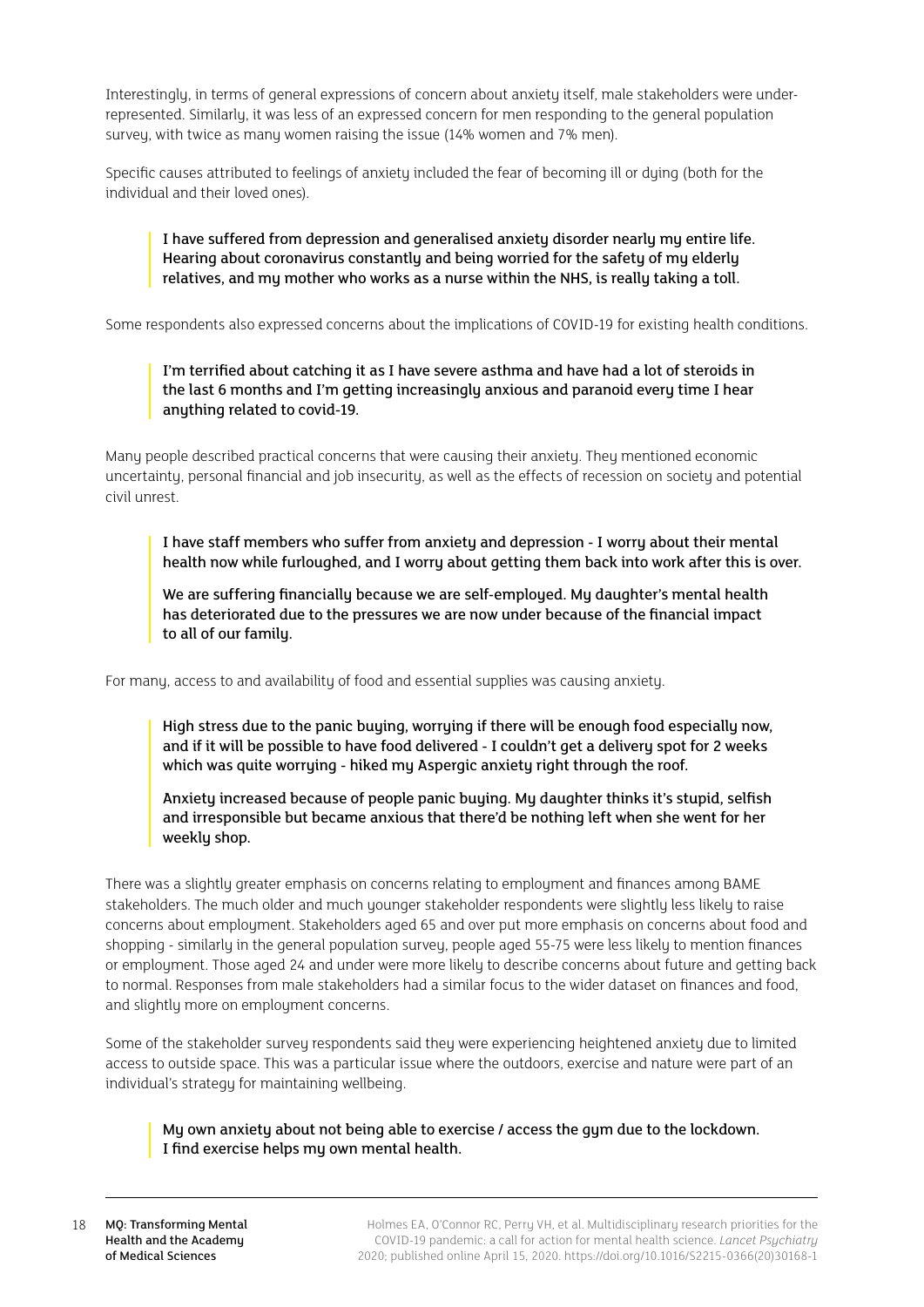Interestingly, in terms of general expressions of concern about anxiety itself, male stakeholders were underrepresented. Similarly, it was less of an expressed concern for men responding to the general population survey, with twice as many women raising the issue (14% women and 7% men).

Specific causes attributed to feelings of anxiety included the fear of becoming ill or dying (both for the individual and their loved ones).

## I have suffered from depression and generalised anxiety disorder nearly my entire life. Hearing about coronavirus constantly and being worried for the safety of my elderly relatives, and my mother who works as a nurse within the NHS, is really taking a toll.

Some respondents also expressed concerns about the implications of COVID-19 for existing health conditions.

## I'm terrified about catching it as I have severe asthma and have had a lot of steroids in the last 6 months and I'm getting increasingly anxious and paranoid every time I hear anything related to covid-19.

Many people described practical concerns that were causing their anxiety. They mentioned economic uncertainty, personal financial and job insecurity, as well as the effects of recession on society and potential civil unrest.

I have staff members who suffer from anxiety and depression - I worry about their mental health now while furloughed, and I worry about getting them back into work after this is over.

We are suffering financially because we are self-employed. My daughter's mental health has deteriorated due to the pressures we are now under because of the financial impact to all of our family.

For many, access to and availability of food and essential supplies was causing anxiety.

High stress due to the panic buying, worrying if there will be enough food especially now, and if it will be possible to have food delivered - I couldn't get a delivery spot for 2 weeks which was quite worrying - hiked my Aspergic anxiety right through the roof.

Anxiety increased because of people panic buying. My daughter thinks it's stupid, selfish and irresponsible but became anxious that there'd be nothing left when she went for her weekly shop.

There was a slightly greater emphasis on concerns relating to employment and finances among BAME stakeholders. The much older and much younger stakeholder respondents were slightly less likely to raise concerns about employment. Stakeholders aged 65 and over put more emphasis on concerns about food and shopping - similarly in the general population survey, people aged 55-75 were less likely to mention finances or employment. Those aged 24 and under were more likely to describe concerns about future and getting back to normal. Responses from male stakeholders had a similar focus to the wider dataset on finances and food, and slightly more on employment concerns.

Some of the stakeholder survey respondents said they were experiencing heightened anxiety due to limited access to outside space. This was a particular issue where the outdoors, exercise and nature were part of an individual's strategy for maintaining wellbeing.

My own anxiety about not being able to exercise / access the gym due to the lockdown. I find exercise helps my own mental health.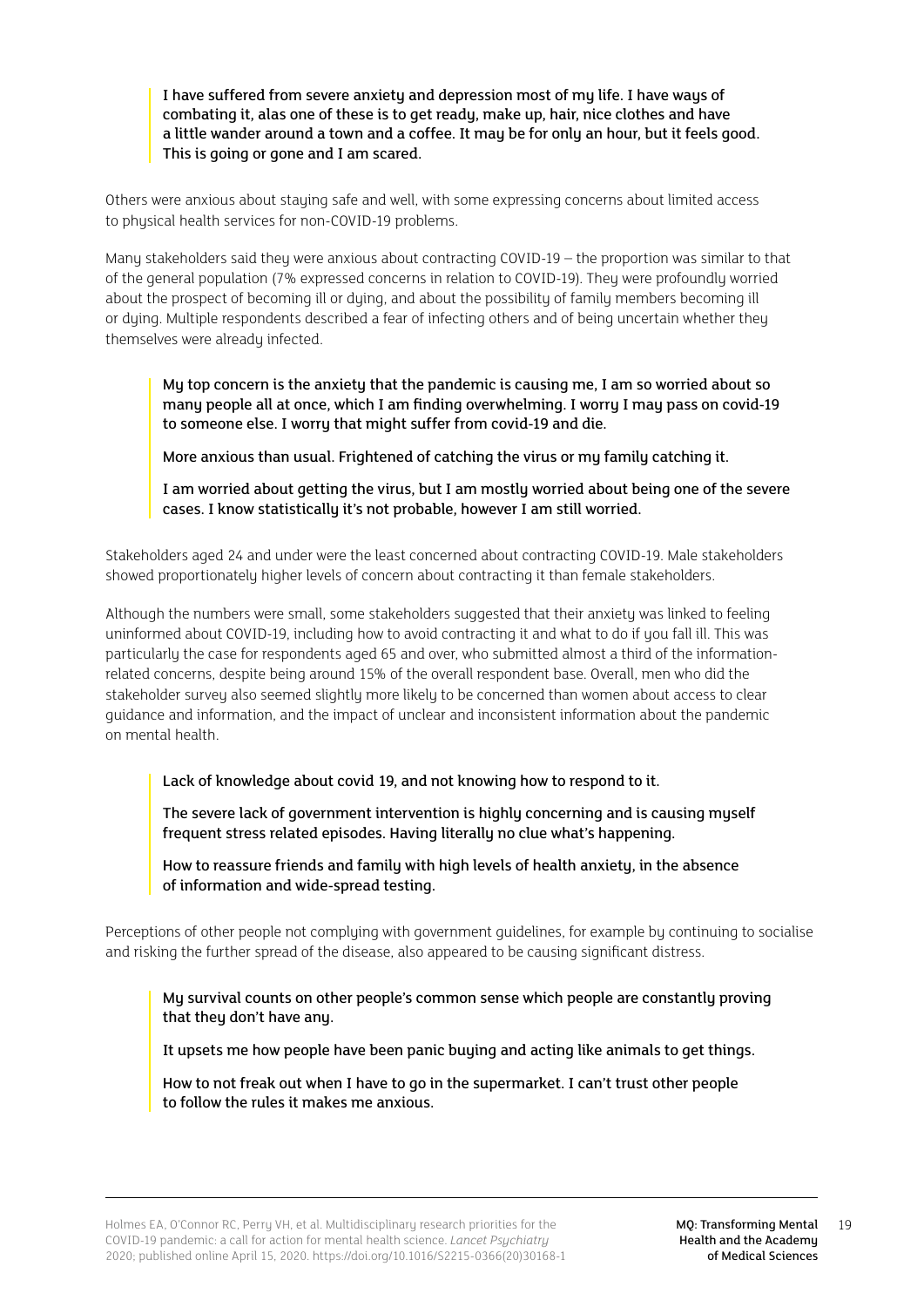I have suffered from severe anxiety and depression most of my life. I have ways of combating it, alas one of these is to get ready, make up, hair, nice clothes and have a little wander around a town and a coffee. It may be for only an hour, but it feels good. This is going or gone and I am scared.

Others were anxious about staying safe and well, with some expressing concerns about limited access to physical health services for non-COVID-19 problems.

Many stakeholders said they were anxious about contracting COVID-19 – the proportion was similar to that of the general population (7% expressed concerns in relation to COVID-19). They were profoundly worried about the prospect of becoming ill or dying, and about the possibility of family members becoming ill or duing. Multiple respondents described a fear of infecting others and of being uncertain whether they themselves were already infected.

My top concern is the anxiety that the pandemic is causing me, I am so worried about so many people all at once, which I am finding overwhelming. I worry I may pass on covid-19 to someone else. I worry that might suffer from covid-19 and die.

More anxious than usual. Frightened of catching the virus or my family catching it.

I am worried about getting the virus, but I am mostly worried about being one of the severe cases. I know statistically it's not probable, however I am still worried.

Stakeholders aged 24 and under were the least concerned about contracting COVID-19. Male stakeholders showed proportionately higher levels of concern about contracting it than female stakeholders.

Although the numbers were small, some stakeholders suggested that their anxiety was linked to feeling uninformed about COVID-19, including how to avoid contracting it and what to do if you fall ill. This was particularly the case for respondents aged 65 and over, who submitted almost a third of the informationrelated concerns, despite being around 15% of the overall respondent base. Overall, men who did the stakeholder surveu also seemed slightly more likely to be concerned than women about access to clear guidance and information, and the impact of unclear and inconsistent information about the pandemic on mental health.

Lack of knowledge about covid 19, and not knowing how to respond to it.

The severe lack of government intervention is highly concerning and is causing myself frequent stress related episodes. Having literally no clue what's happening.

How to reassure friends and family with high levels of health anxiety, in the absence of information and wide-spread testing.

Perceptions of other people not compluing with government guidelines, for example by continuing to socialise and risking the further spread of the disease, also appeared to be causing significant distress.

My survival counts on other people's common sense which people are constantly proving that they don't have any.

It upsets me how people have been panic buying and acting like animals to get things.

How to not freak out when I have to go in the supermarket. I can't trust other people to follow the rules it makes me anxious.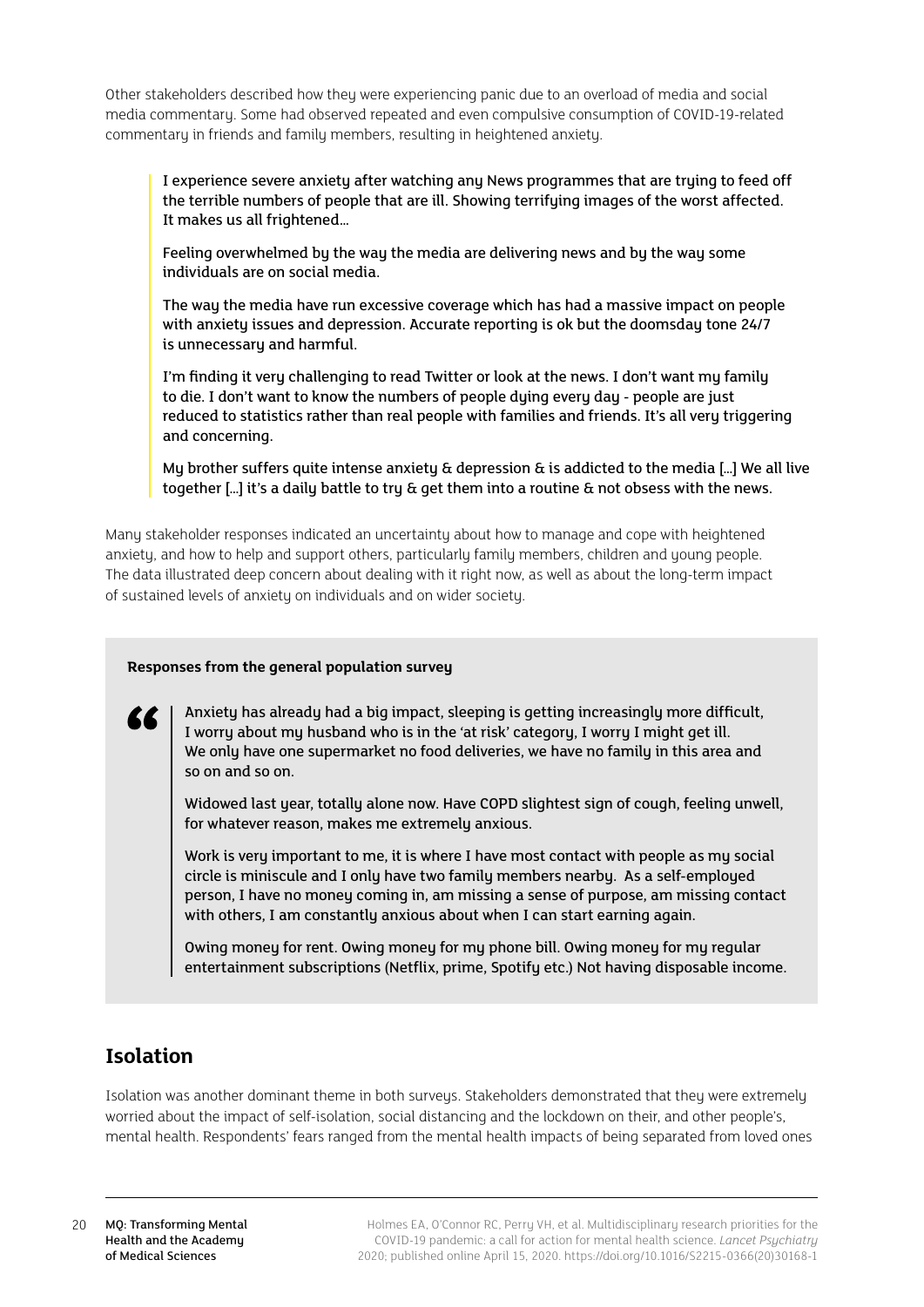<span id="page-19-0"></span>Other stakeholders described how they were experiencing panic due to an overload of media and social media commentary. Some had observed repeated and even compulsive consumption of COVID-19-related commentary in friends and family members, resulting in heightened anxiety.

I experience severe anxiety after watching any News programmes that are trying to feed off the terrible numbers of people that are ill. Showing terrifying images of the worst affected. It makes us all frightened…

Feeling overwhelmed by the way the media are delivering news and by the way some individuals are on social media.

The way the media have run excessive coverage which has had a massive impact on people with anxiety issues and depression. Accurate reporting is ok but the doomsday tone 24/7 is unnecessary and harmful.

I'm finding it very challenging to read Twitter or look at the news. I don't want my family to die. I don't want to know the numbers of people dying every day - people are just reduced to statistics rather than real people with families and friends. It's all very triggering and concerning.

My brother suffers quite intense anxiety  $\alpha$  depression  $\alpha$  is addicted to the media [...] We all live together […] it's a daily battle to try & get them into a routine & not obsess with the news.

Many stakeholder responses indicated an uncertainty about how to manage and cope with heightened anxiety, and how to help and support others, particularly family members, children and young people. The data illustrated deep concern about dealing with it right now, as well as about the long-term impact of sustained levels of anxiety on individuals and on wider society.

## **Responses from the general population survey**

Anxiety has already had a big impact, sleeping is getting increasingly more difficult, I worry about my husband who is in the 'at risk' category, I worry I might get ill. We only have one supermarket no food deliveries, we have no family in this area and so on and so on.

Widowed last year, totally alone now. Have COPD slightest sign of cough, feeling unwell, for whatever reason, makes me extremely anxious.

Work is very important to me, it is where I have most contact with people as my social circle is miniscule and I only have two family members nearby. As a self-employed person, I have no money coming in, am missing a sense of purpose, am missing contact with others, I am constantly anxious about when I can start earning again.

Owing money for rent. Owing money for my phone bill. Owing money for my regular entertainment subscriptions (Netflix, prime, Spotify etc.) Not having disposable income.

## **Isolation**

Isolation was another dominant theme in both surveus. Stakeholders demonstrated that they were extremely worried about the impact of self-isolation, social distancing and the lockdown on their, and other people's, mental health. Respondents' fears ranged from the mental health impacts of being separated from loved ones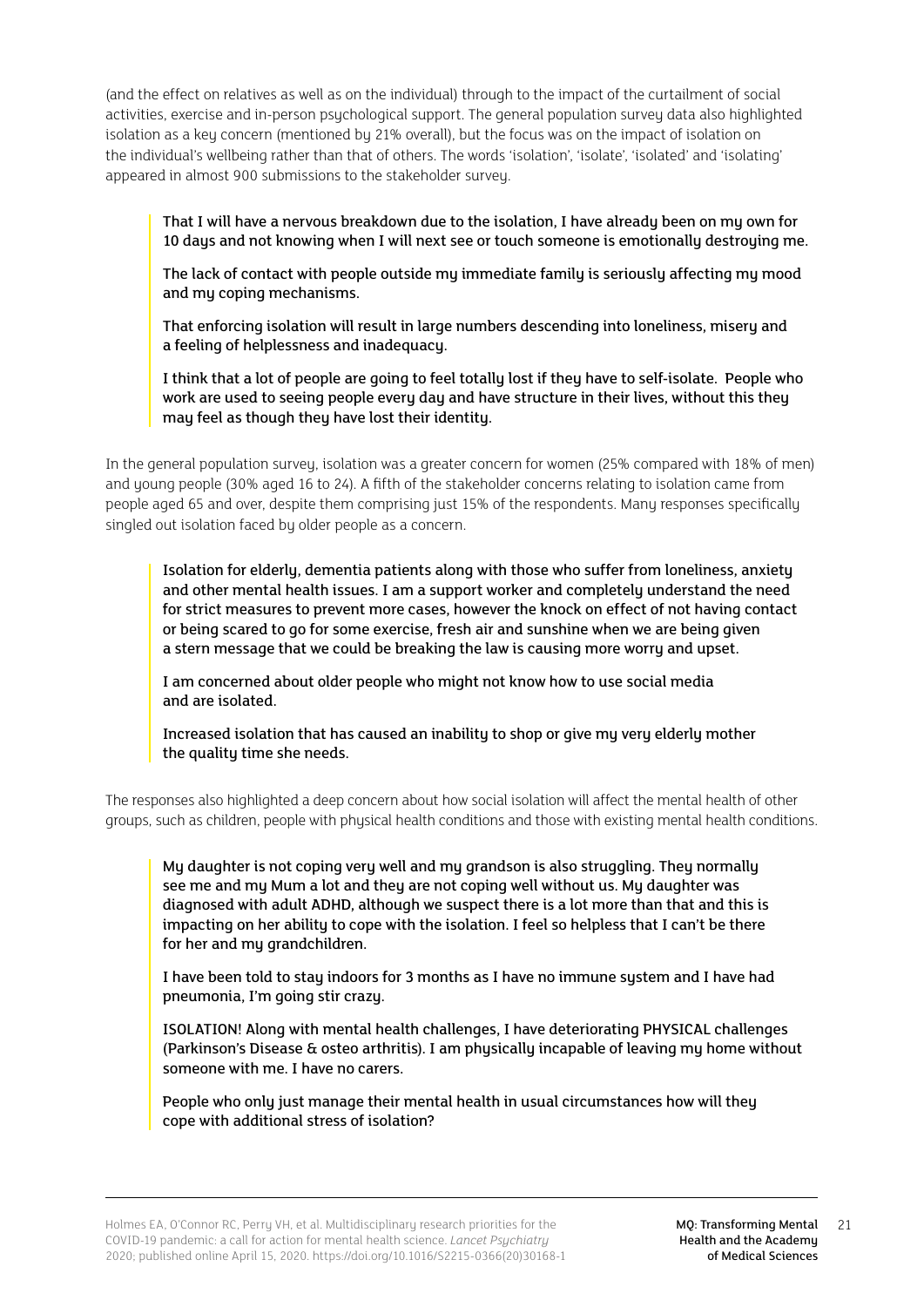(and the effect on relatives as well as on the individual) through to the impact of the curtailment of social activities, exercise and in-person psychological support. The general population survey data also highlighted isolation as a key concern (mentioned by 21% overall), but the focus was on the impact of isolation on the individual's wellbeing rather than that of others. The words 'isolation', 'isolate', 'isolated' and 'isolating' appeared in almost 900 submissions to the stakeholder survey.

That I will have a nervous breakdown due to the isolation, I have already been on my own for 10 days and not knowing when I will next see or touch someone is emotionally destroying me.

The lack of contact with people outside my immediate family is seriously affecting my mood and my coping mechanisms.

That enforcing isolation will result in large numbers descending into loneliness, misery and a feeling of helplessness and inadequacy.

I think that a lot of people are going to feel totally lost if they have to self-isolate. People who work are used to seeing people every day and have structure in their lives, without this they may feel as though they have lost their identity.

In the general population survey, isolation was a greater concern for women (25% compared with 18% of men) and young people (30% aged 16 to 24). A fifth of the stakeholder concerns relating to isolation came from people aged 65 and over, despite them comprising just 15% of the respondents. Many responses specifically singled out isolation faced by older people as a concern.

Isolation for elderly, dementia patients along with those who suffer from loneliness, anxiety and other mental health issues. I am a support worker and completely understand the need for strict measures to prevent more cases, however the knock on effect of not having contact or being scared to go for some exercise, fresh air and sunshine when we are being given a stern message that we could be breaking the law is causing more worry and upset.

I am concerned about older people who might not know how to use social media and are isolated.

Increased isolation that has caused an inability to shop or give my very elderly mother the quality time she needs.

The responses also highlighted a deep concern about how social isolation will affect the mental health of other groups, such as children, people with physical health conditions and those with existing mental health conditions.

My daughter is not coping very well and my grandson is also struggling. They normally see me and my Mum a lot and they are not coping well without us. My daughter was diagnosed with adult ADHD, although we suspect there is a lot more than that and this is impacting on her ability to cope with the isolation. I feel so helpless that I can't be there for her and my grandchildren.

I have been told to stay indoors for 3 months as I have no immune system and I have had pneumonia, I'm going stir crazy.

ISOLATION! Along with mental health challenges, I have deteriorating PHYSICAL challenges (Parkinson's Disease & osteo arthritis). I am physically incapable of leaving my home without someone with me. I have no carers.

People who only just manage their mental health in usual circumstances how will they cope with additional stress of isolation?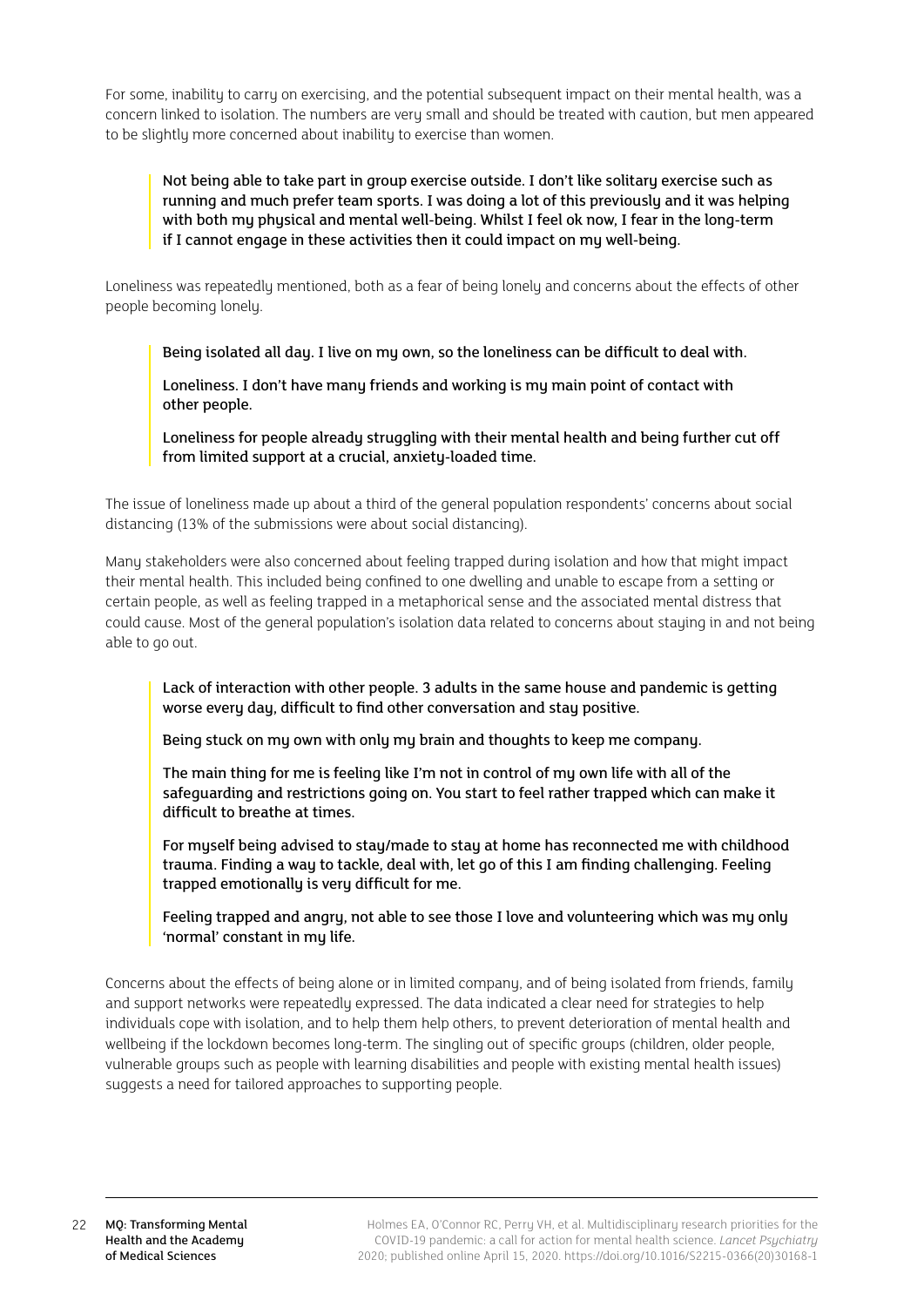For some, inability to carry on exercising, and the potential subsequent impact on their mental health, was a concern linked to isolation. The numbers are very small and should be treated with caution, but men appeared to be slightly more concerned about inability to exercise than women.

Not being able to take part in group exercise outside. I don't like solitary exercise such as running and much prefer team sports. I was doing a lot of this previously and it was helping with both my physical and mental well-being. Whilst I feel ok now, I fear in the long-term if I cannot engage in these activities then it could impact on my well-being.

Loneliness was repeatedly mentioned, both as a fear of being lonely and concerns about the effects of other people becoming lonely.

Being isolated all day. I live on my own, so the loneliness can be difficult to deal with.

Loneliness. I don't have many friends and working is my main point of contact with other people.

Loneliness for people already struggling with their mental health and being further cut off from limited support at a crucial, anxiety-loaded time.

The issue of loneliness made up about a third of the general population respondents' concerns about social distancing (13% of the submissions were about social distancing).

Many stakeholders were also concerned about feeling trapped during isolation and how that might impact their mental health. This included being confined to one dwelling and unable to escape from a setting or certain people, as well as feeling trapped in a metaphorical sense and the associated mental distress that could cause. Most of the general population's isolation data related to concerns about staying in and not being able to go out.

Lack of interaction with other people. 3 adults in the same house and pandemic is getting worse every day, difficult to find other conversation and stay positive.

Being stuck on my own with only my brain and thoughts to keep me company.

The main thing for me is feeling like I'm not in control of my own life with all of the safeguarding and restrictions going on. You start to feel rather trapped which can make it difficult to breathe at times.

For myself being advised to stay/made to stay at home has reconnected me with childhood trauma. Finding a way to tackle, deal with, let go of this I am finding challenging. Feeling trapped emotionally is very difficult for me.

Feeling trapped and angry, not able to see those I love and volunteering which was my only 'normal' constant in my life.

Concerns about the effects of being alone or in limited company, and of being isolated from friends, family and support networks were repeatedly expressed. The data indicated a clear need for strategies to help individuals cope with isolation, and to help them help others, to prevent deterioration of mental health and wellbeing if the lockdown becomes long-term. The singling out of specific groups (children, older people, vulnerable groups such as people with learning disabilities and people with existing mental health issues) suggests a need for tailored approaches to supporting people.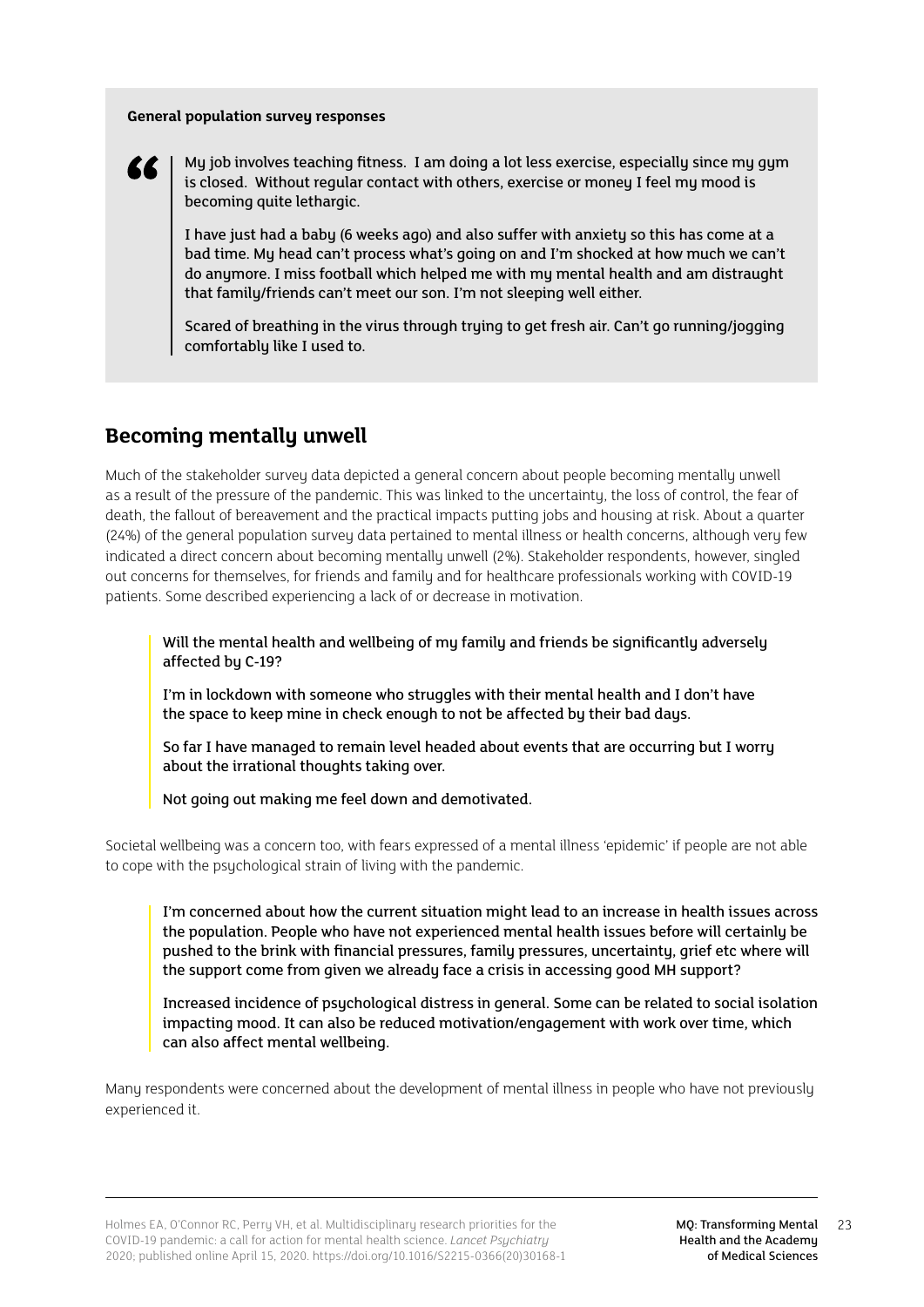#### <span id="page-22-0"></span>**General population survey responses**



My job involves teaching fitness. I am doing a lot less exercise, especially since my gym is closed. Without regular contact with others, exercise or money I feel my mood is becoming quite lethargic.

I have just had a baby (6 weeks ago) and also suffer with anxiety so this has come at a bad time. My head can't process what's going on and I'm shocked at how much we can't do anymore. I miss football which helped me with my mental health and am distraught that family/friends can't meet our son. I'm not sleeping well either.

Scared of breathing in the virus through trying to get fresh air. Can't go running/jogging comfortably like I used to.

## **Becoming mentally unwell**

Much of the stakeholder survey data depicted a general concern about people becoming mentally unwell as a result of the pressure of the pandemic. This was linked to the uncertainty, the loss of control, the fear of death, the fallout of bereavement and the practical impacts putting jobs and housing at risk. About a quarter (24%) of the general population survey data pertained to mental illness or health concerns, although very few indicated a direct concern about becoming mentally unwell (2%). Stakeholder respondents, however, singled out concerns for themselves, for friends and family and for healthcare professionals working with COVID-19 patients. Some described experiencing a lack of or decrease in motivation.

Will the mental health and wellbeing of my family and friends be significantly adversely affected by C-19?

I'm in lockdown with someone who struggles with their mental health and I don't have the space to keep mine in check enough to not be affected by their bad days.

So far I have managed to remain level headed about events that are occurring but I worry about the irrational thoughts taking over.

Not going out making me feel down and demotivated.

Societal wellbeing was a concern too, with fears expressed of a mental illness 'epidemic' if people are not able to cope with the psychological strain of living with the pandemic.

I'm concerned about how the current situation might lead to an increase in health issues across the population. People who have not experienced mental health issues before will certainly be pushed to the brink with financial pressures, family pressures, uncertainty, grief etc where will the support come from given we already face a crisis in accessing good MH support?

Increased incidence of psychological distress in general. Some can be related to social isolation impacting mood. It can also be reduced motivation/engagement with work over time, which can also affect mental wellbeing.

Many respondents were concerned about the development of mental illness in people who have not previously experienced it.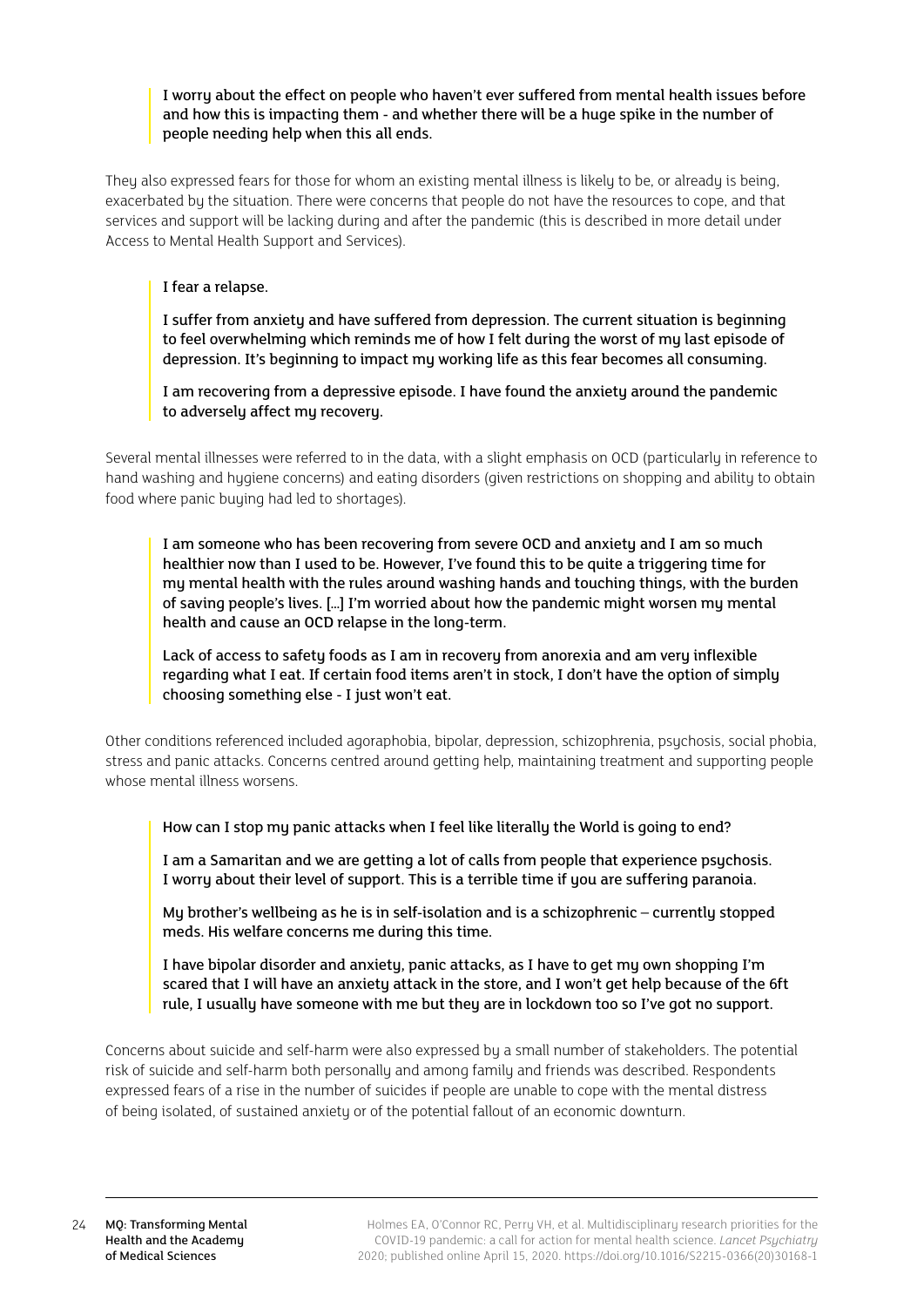## I worry about the effect on people who haven't ever suffered from mental health issues before and how this is impacting them - and whether there will be a huge spike in the number of people needing help when this all ends.

They also expressed fears for those for whom an existing mental illness is likely to be, or already is being, exacerbated by the situation. There were concerns that people do not have the resources to cope, and that services and support will be lacking during and after the pandemic (this is described in more detail under Access to Mental Health Support and Services).

## I fear a relapse.

I suffer from anxiety and have suffered from depression. The current situation is beginning to feel overwhelming which reminds me of how I felt during the worst of my last episode of depression. It's beginning to impact my working life as this fear becomes all consuming.

I am recovering from a depressive episode. I have found the anxiety around the pandemic to adversely affect my recovery.

Several mental illnesses were referred to in the data, with a slight emphasis on OCD (particularly in reference to hand washing and hygiene concerns) and eating disorders (given restrictions on shopping and ability to obtain food where panic buying had led to shortages).

I am someone who has been recovering from severe OCD and anxiety and I am so much healthier now than I used to be. However, I've found this to be quite a triggering time for my mental health with the rules around washing hands and touching things, with the burden of saving people's lives. […] I'm worried about how the pandemic might worsen my mental health and cause an OCD relapse in the long-term.

Lack of access to safety foods as I am in recovery from anorexia and am very inflexible regarding what I eat. If certain food items aren't in stock, I don't have the option of simply choosing something else - I just won't eat.

Other conditions referenced included agoraphobia, bipolar, depression, schizophrenia, psychosis, social phobia, stress and panic attacks. Concerns centred around getting help, maintaining treatment and supporting people whose mental illness worsens.

How can I stop mu panic attacks when I feel like literally the World is going to end?

I am a Samaritan and we are getting a lot of calls from people that experience psychosis. I worru about their level of support. This is a terrible time if you are suffering paranoia.

My brother's wellbeing as he is in self-isolation and is a schizophrenic – currently stopped meds. His welfare concerns me during this time.

I have bipolar disorder and anxiety, panic attacks, as I have to get my own shopping I'm scared that I will have an anxiety attack in the store, and I won't get help because of the 6ft rule, I usually have someone with me but they are in lockdown too so I've got no support.

Concerns about suicide and self-harm were also expressed by a small number of stakeholders. The potential risk of suicide and self-harm both personally and among family and friends was described. Respondents expressed fears of a rise in the number of suicides if people are unable to cope with the mental distress of being isolated, of sustained anxiety or of the potential fallout of an economic downturn.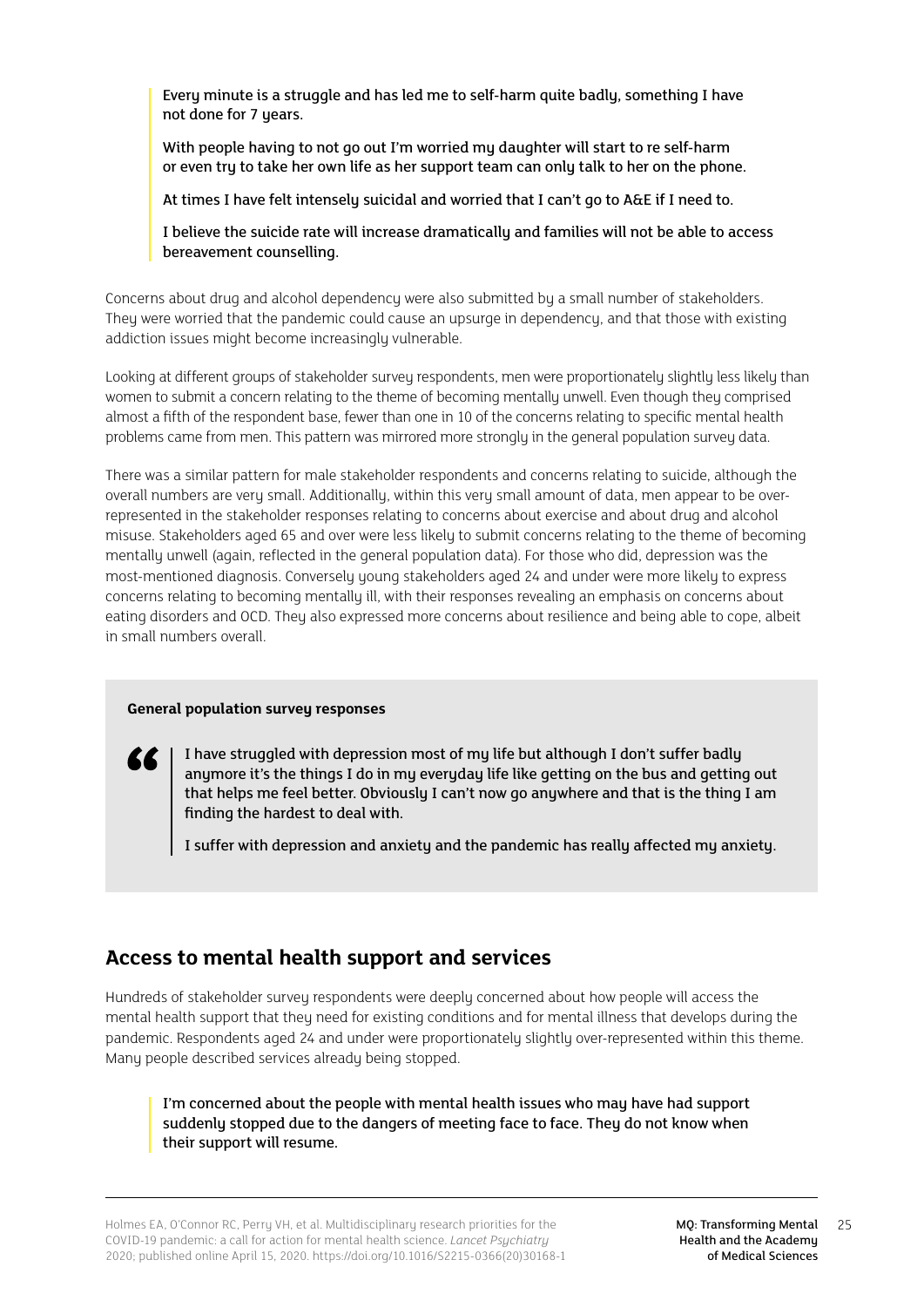<span id="page-24-0"></span>Every minute is a struggle and has led me to self-harm quite badly, something I have not done for 7 years.

With people having to not go out I'm worried my daughter will start to re self-harm or even try to take her own life as her support team can only talk to her on the phone.

At times I have felt intensely suicidal and worried that I can't go to A&E if I need to.

I believe the suicide rate will increase dramatically and families will not be able to access bereavement counselling.

Concerns about drug and alcohol dependency were also submitted by a small number of stakeholders. They were worried that the pandemic could cause an upsurge in dependency, and that those with existing addiction issues might become increasingly vulnerable.

Looking at different groups of stakeholder survey respondents, men were proportionately slightly less likely than women to submit a concern relating to the theme of becoming mentally unwell. Even though they comprised almost a fifth of the respondent base, fewer than one in 10 of the concerns relating to specific mental health problems came from men. This pattern was mirrored more strongly in the general population survey data.

There was a similar pattern for male stakeholder respondents and concerns relating to suicide, although the overall numbers are very small. Additionally, within this very small amount of data, men appear to be overrepresented in the stakeholder responses relating to concerns about exercise and about drug and alcohol misuse. Stakeholders aged 65 and over were less likely to submit concerns relating to the theme of becoming mentally unwell (again, reflected in the general population data). For those who did, depression was the most-mentioned diagnosis. Conversely young stakeholders aged 24 and under were more likely to express concerns relating to becoming mentally ill, with their responses revealing an emphasis on concerns about eating disorders and OCD. They also expressed more concerns about resilience and being able to cope, albeit in small numbers overall.

## **General population survey responses**

I have struggled with depression most of my life but although I don't suffer badly anymore it's the things I do in my everyday life like getting on the bus and getting out that helps me feel better. Obviously I can't now go anywhere and that is the thing I am finding the hardest to deal with.

I suffer with depression and anxiety and the pandemic has really affected my anxiety.

## **Access to mental health support and services**

Hundreds of stakeholder surveu respondents were deeply concerned about how people will access the mental health support that they need for existing conditions and for mental illness that develops during the pandemic. Respondents aged 24 and under were proportionately slightly over-represented within this theme. Many people described services already being stopped.

I'm concerned about the people with mental health issues who may have had support suddenly stopped due to the dangers of meeting face to face. They do not know when their support will resume.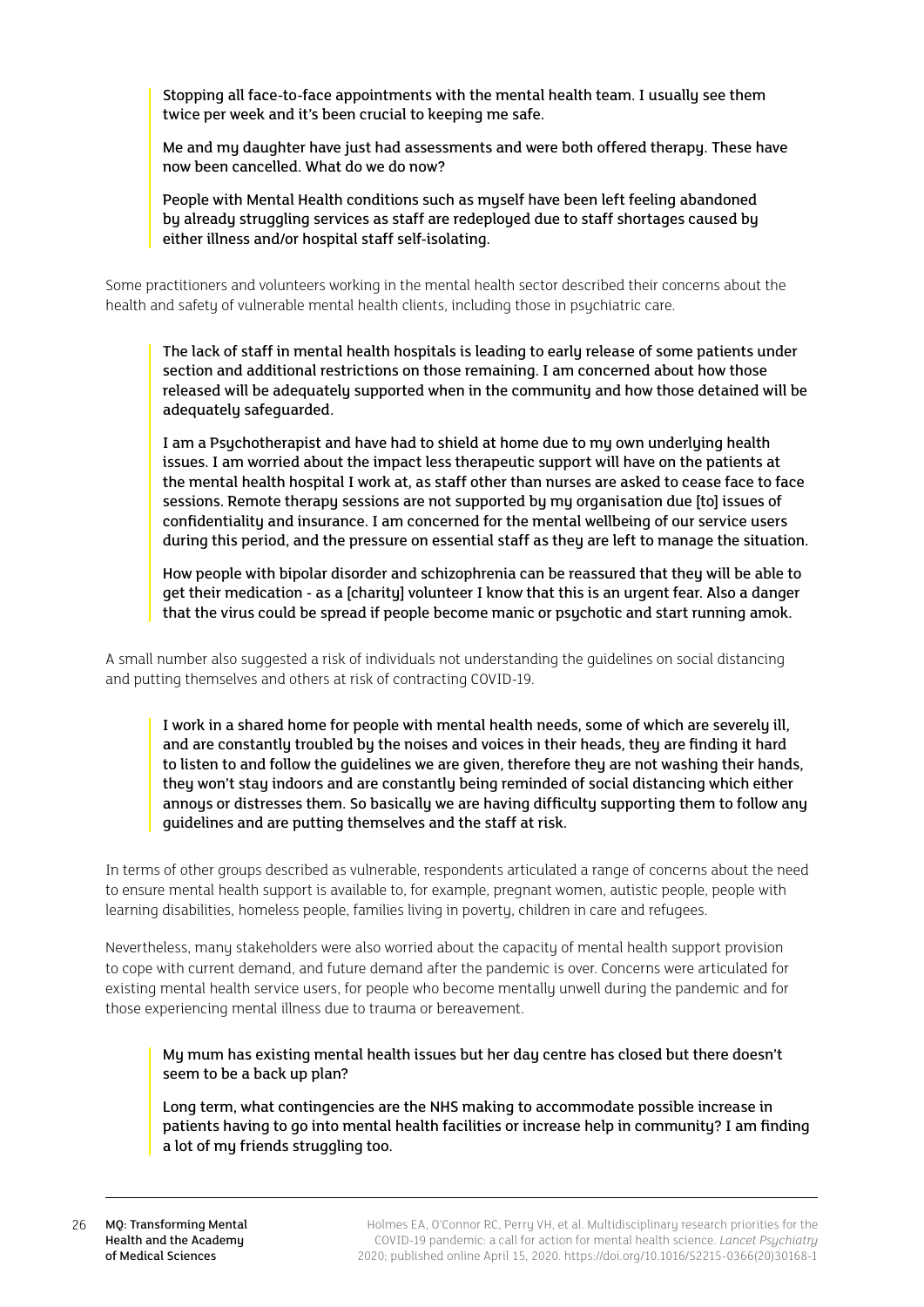Stopping all face-to-face appointments with the mental health team. I usually see them twice per week and it's been crucial to keeping me safe.

Me and my daughter have just had assessments and were both offered therapy. These have now been cancelled. What do we do now?

People with Mental Health conditions such as myself have been left feeling abandoned by already struggling services as staff are redeployed due to staff shortages caused by either illness and/or hospital staff self-isolating.

Some practitioners and volunteers working in the mental health sector described their concerns about the health and safety of vulnerable mental health clients, including those in psychiatric care.

The lack of staff in mental health hospitals is leading to early release of some patients under section and additional restrictions on those remaining. I am concerned about how those released will be adequately supported when in the community and how those detained will be adequately safeguarded.

I am a Psychotherapist and have had to shield at home due to my own underlying health issues. I am worried about the impact less therapeutic support will have on the patients at the mental health hospital I work at, as staff other than nurses are asked to cease face to face sessions. Remote therapy sessions are not supported by my organisation due [to] issues of confidentiality and insurance. I am concerned for the mental wellbeing of our service users during this period, and the pressure on essential staff as they are left to manage the situation.

How people with bipolar disorder and schizophrenia can be reassured that they will be able to get their medication - as a [charity] volunteer I know that this is an urgent fear. Also a danger that the virus could be spread if people become manic or psychotic and start running amok.

A small number also suggested a risk of individuals not understanding the guidelines on social distancing and putting themselves and others at risk of contracting COVID-19.

I work in a shared home for people with mental health needs, some of which are severely ill, and are constantly troubled by the noises and voices in their heads, they are finding it hard to listen to and follow the guidelines we are given, therefore they are not washing their hands, they won't stay indoors and are constantly being reminded of social distancing which either annoys or distresses them. So basically we are having difficulty supporting them to follow any guidelines and are putting themselves and the staff at risk.

In terms of other groups described as vulnerable, respondents articulated a range of concerns about the need to ensure mental health support is available to, for example, pregnant women, autistic people, people with learning disabilities, homeless people, families living in poverty, children in care and refugees.

Nevertheless, many stakeholders were also worried about the capacity of mental health support provision to cope with current demand, and future demand after the pandemic is over. Concerns were articulated for existing mental health service users, for people who become mentally unwell during the pandemic and for those experiencing mental illness due to trauma or bereavement.

My mum has existing mental health issues but her day centre has closed but there doesn't seem to be a back up plan?

Long term, what contingencies are the NHS making to accommodate possible increase in patients having to go into mental health facilities or increase help in community? I am finding a lot of my friends struggling too.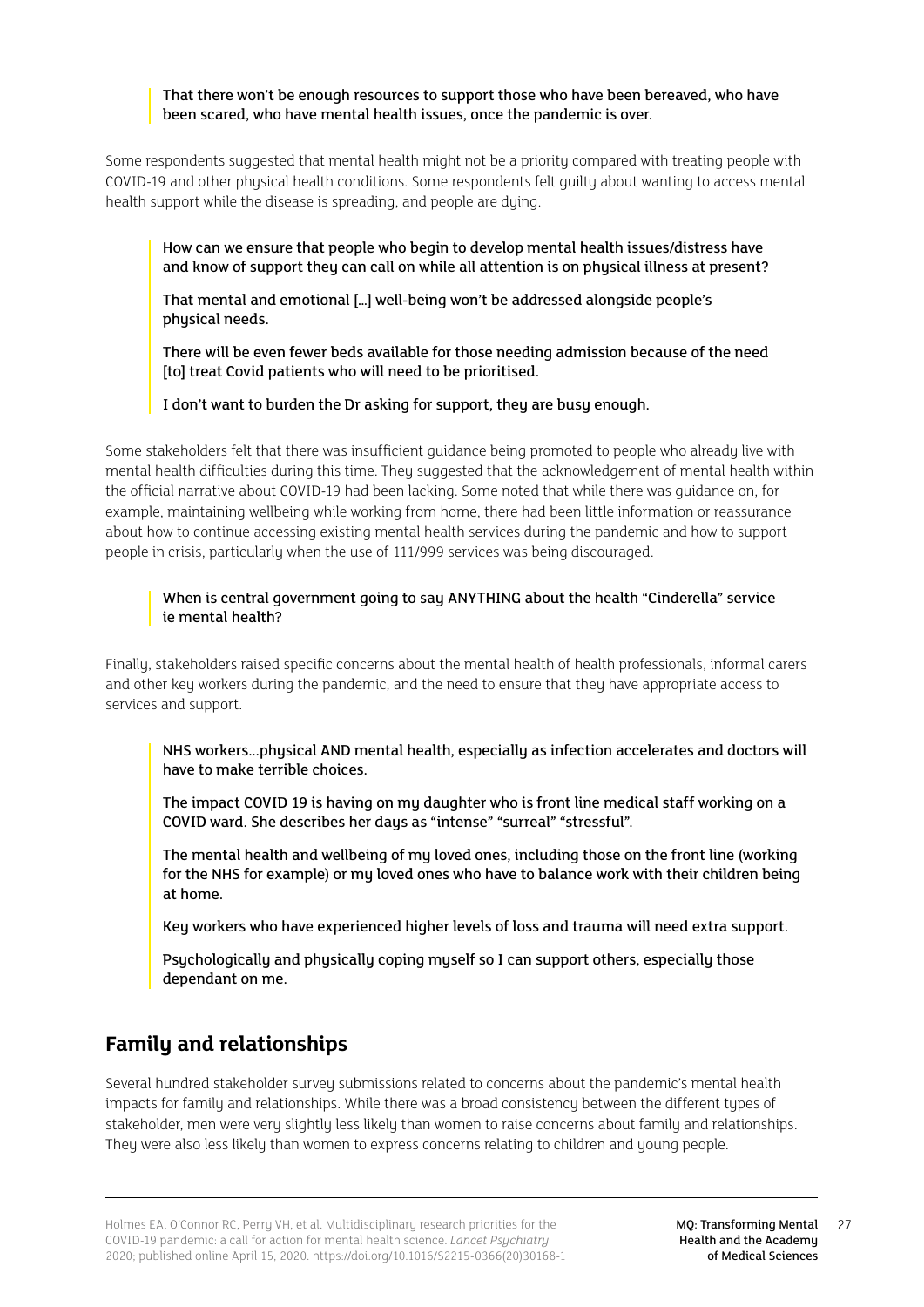<span id="page-26-0"></span>That there won't be enough resources to support those who have been bereaved, who have been scared, who have mental health issues, once the pandemic is over.

Some respondents suggested that mental health might not be a priority compared with treating people with COVID-19 and other phusical health conditions. Some respondents felt quiltu about wanting to access mental health support while the disease is spreading, and people are dying.

How can we ensure that people who begin to develop mental health issues/distress have and know of support they can call on while all attention is on physical illness at present?

That mental and emotional […] well-being won't be addressed alongside people's physical needs.

There will be even fewer beds available for those needing admission because of the need [to] treat Covid patients who will need to be prioritised.

I don't want to burden the Dr asking for support, they are busy enough.

Some stakeholders felt that there was insufficient guidance being promoted to people who already live with mental health difficulties during this time. They suggested that the acknowledgement of mental health within the official narrative about COVID-19 had been lacking. Some noted that while there was guidance on, for example, maintaining wellbeing while working from home, there had been little information or reassurance about how to continue accessing existing mental health services during the pandemic and how to support people in crisis, particularly when the use of 111/999 services was being discouraged.

## When is central government going to say ANYTHING about the health "Cinderella" service ie mental health?

Finally, stakeholders raised specific concerns about the mental health of health professionals, informal carers and other key workers during the pandemic, and the need to ensure that they have appropriate access to services and support.

NHS workers...physical AND mental health, especially as infection accelerates and doctors will have to make terrible choices.

The impact COVID 19 is having on my daughter who is front line medical staff working on a COVID ward. She describes her days as "intense" "surreal" "stressful".

The mental health and wellbeing of my loved ones, including those on the front line (working for the NHS for example) or my loved ones who have to balance work with their children being at home.

Key workers who have experienced higher levels of loss and trauma will need extra support.

Psychologically and physically coping myself so I can support others, especially those dependant on me.

## **Family and relationships**

Several hundred stakeholder survey submissions related to concerns about the pandemic's mental health impacts for family and relationships. While there was a broad consistency between the different types of stakeholder, men were very slightly less likely than women to raise concerns about family and relationships. They were also less likely than women to express concerns relating to children and young people.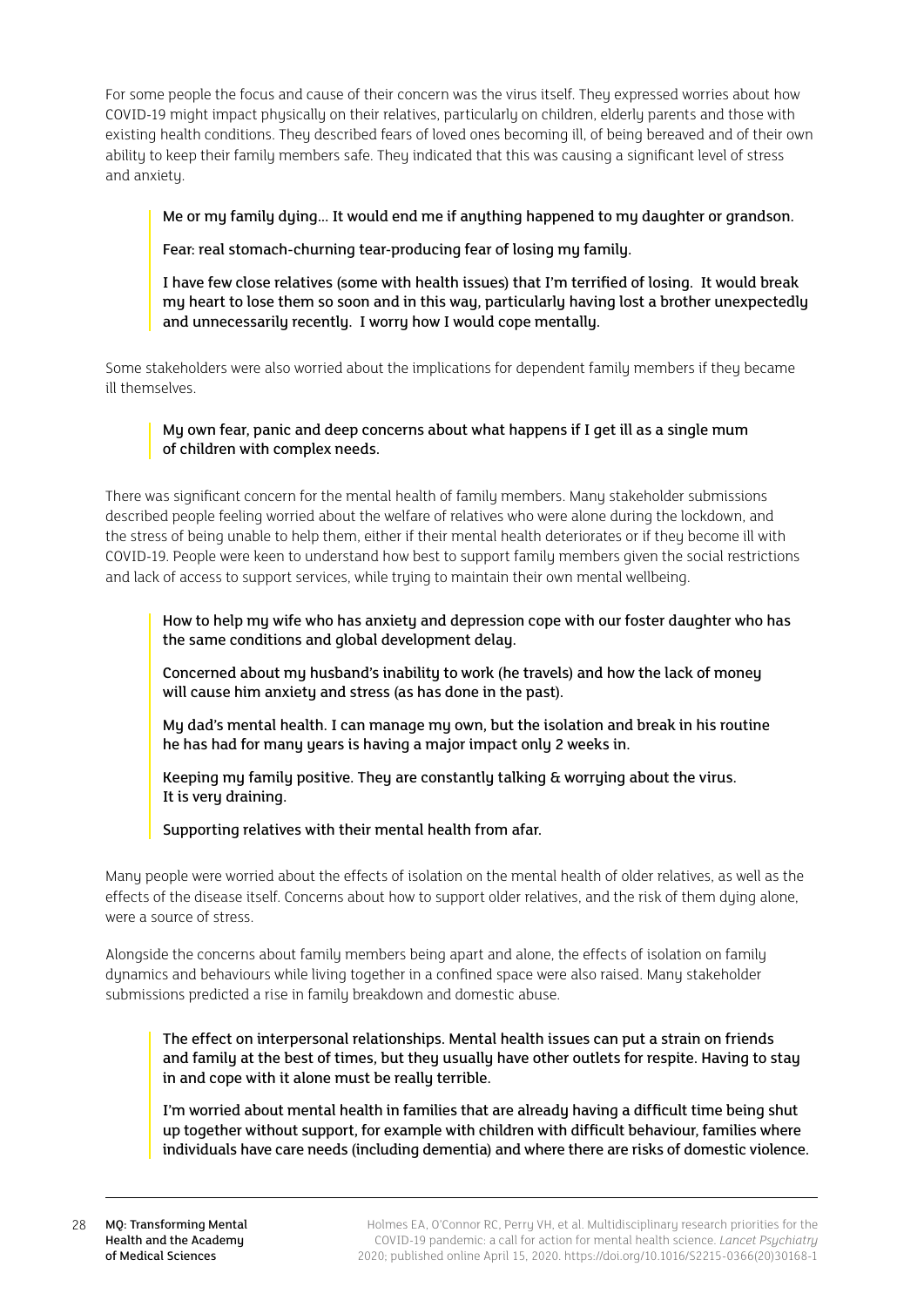For some people the focus and cause of their concern was the virus itself. They expressed worries about how COVID-19 might impact physically on their relatives, particularly on children, elderly parents and those with existing health conditions. They described fears of loved ones becoming ill, of being bereaved and of their own ability to keep their family members safe. They indicated that this was causing a significant level of stress and anxiety.

## Me or my family dying... It would end me if anything happened to my daughter or grandson.

Fear: real stomach-churning tear-producing fear of losing my family.

I have few close relatives (some with health issues) that I'm terrified of losing. It would break my heart to lose them so soon and in this way, particularly having lost a brother unexpectedly and unnecessarily recently. I worry how I would cope mentally.

Some stakeholders were also worried about the implications for dependent family members if they became ill themselves.

## My own fear, panic and deep concerns about what happens if I get ill as a single mum of children with complex needs.

There was significant concern for the mental health of family members. Many stakeholder submissions described people feeling worried about the welfare of relatives who were alone during the lockdown, and the stress of being unable to help them, either if their mental health deteriorates or if they become ill with COVID-19. People were keen to understand how best to support family members given the social restrictions and lack of access to support services, while truing to maintain their own mental wellbeing.

How to help my wife who has anxiety and depression cope with our foster daughter who has the same conditions and global development delay.

Concerned about my husband's inability to work (he travels) and how the lack of money will cause him anxietu and stress (as has done in the past).

My dad's mental health. I can manage my own, but the isolation and break in his routine he has had for many years is having a major impact only 2 weeks in.

Keeping my family positive. They are constantly talking & worrying about the virus. It is veru draining.

Supporting relatives with their mental health from afar.

Many people were worried about the effects of isolation on the mental health of older relatives, as well as the effects of the disease itself. Concerns about how to support older relatives, and the risk of them dying alone, were a source of stress.

Alongside the concerns about family members being apart and alone, the effects of isolation on family dynamics and behaviours while living together in a confined space were also raised. Many stakeholder submissions predicted a rise in family breakdown and domestic abuse.

The effect on interpersonal relationships. Mental health issues can put a strain on friends and family at the best of times, but they usually have other outlets for respite. Having to stay in and cope with it alone must be really terrible.

I'm worried about mental health in families that are already having a difficult time being shut up together without support, for example with children with difficult behaviour, families where individuals have care needs (including dementia) and where there are risks of domestic violence.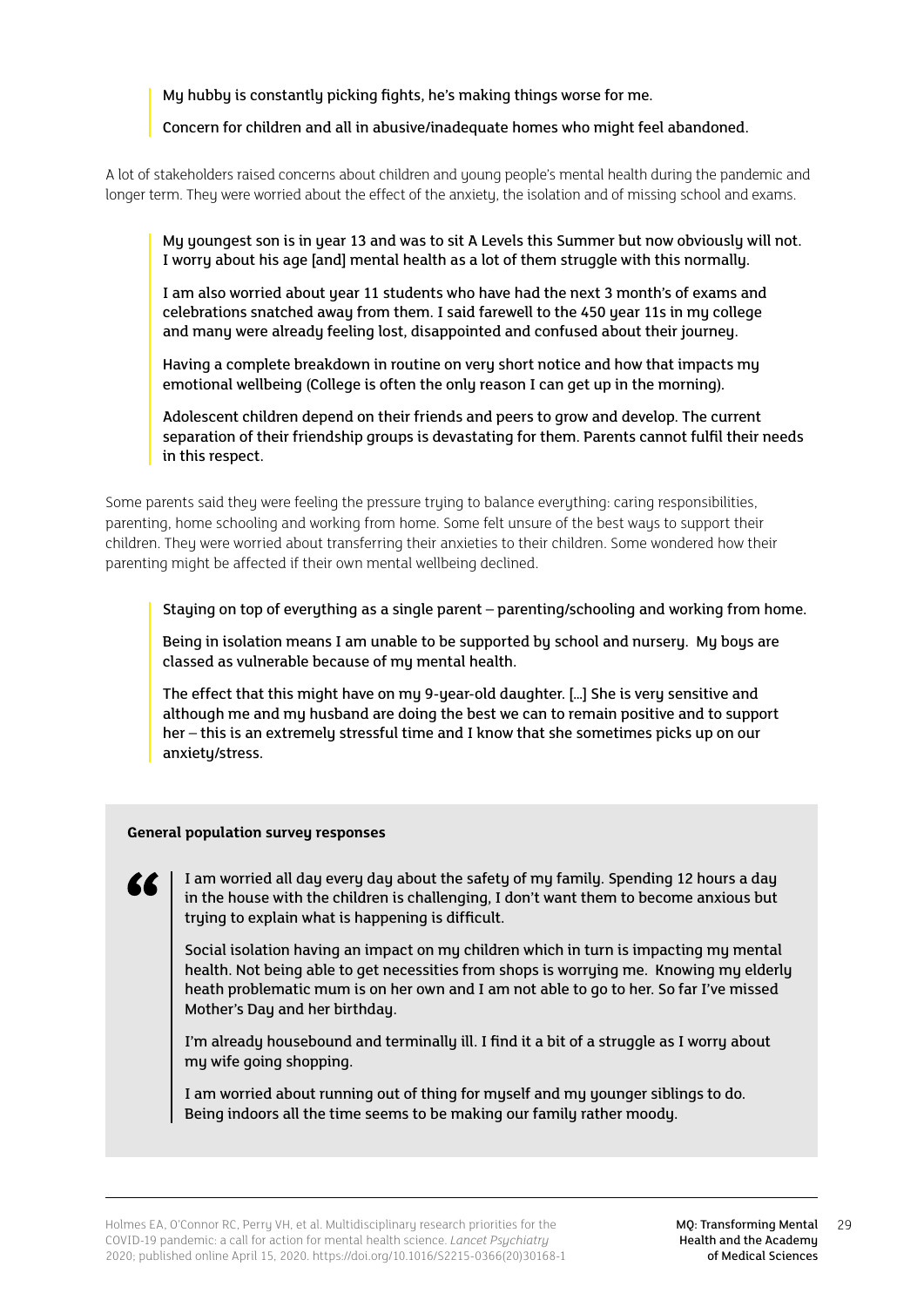My hubby is constantly picking fights, he's making things worse for me.

## Concern for children and all in abusive/inadequate homes who might feel abandoned.

A lot of stakeholders raised concerns about children and young people's mental health during the pandemic and longer term. They were worried about the effect of the anxiety, the isolation and of missing school and exams.

My youngest son is in year 13 and was to sit A Levels this Summer but now obviously will not. I worry about his age [and] mental health as a lot of them struggle with this normally.

I am also worried about year 11 students who have had the next 3 month's of exams and celebrations snatched away from them. I said farewell to the 450 year 11s in my college and many were already feeling lost, disappointed and confused about their journey.

Having a complete breakdown in routine on very short notice and how that impacts my emotional wellbeing (College is often the only reason I can get up in the morning).

Adolescent children depend on their friends and peers to grow and develop. The current separation of their friendship groups is devastating for them. Parents cannot fulfil their needs in this respect.

Some parents said they were feeling the pressure truing to balance everything: caring responsibilities, parenting, home schooling and working from home. Some felt unsure of the best ways to support their children. They were worried about transferring their anxieties to their children. Some wondered how their parenting might be affected if their own mental wellbeing declined.

Staying on top of everything as a single parent – parenting/schooling and working from home.

Being in isolation means I am unable to be supported by school and nursery. My boys are classed as vulnerable because of my mental health.

The effect that this might have on my 9-year-old daughter. […] She is very sensitive and although me and my husband are doing the best we can to remain positive and to support her – this is an extremely stressful time and I know that she sometimes picks up on our anxiety/stress.

## **General population survey responses**

**EL** 

I am worried all dau every day about the safety of my family. Spending 12 hours a day in the house with the children is challenging, I don't want them to become anxious but trying to explain what is happening is difficult.

Social isolation having an impact on my children which in turn is impacting my mental health. Not being able to get necessities from shops is worrying me. Knowing my elderly heath problematic mum is on her own and I am not able to go to her. So far I've missed Mother's Day and her birthday.

I'm already housebound and terminally ill. I find it a bit of a struggle as I worry about my wife going shopping.

I am worried about running out of thing for myself and my younger siblings to do. Being indoors all the time seems to be making our family rather moody.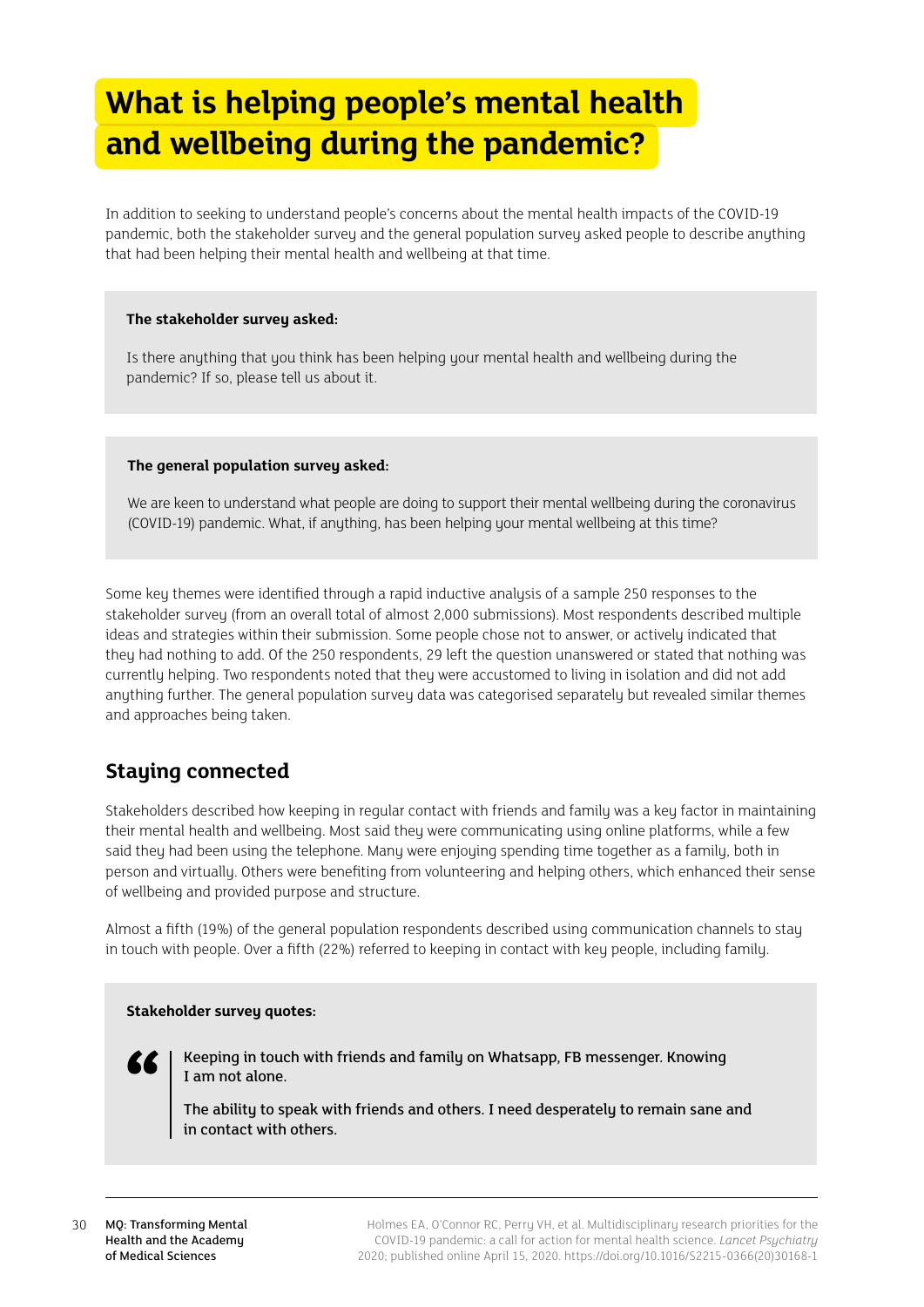## <span id="page-29-0"></span>**What is helping people's mental health and wellbeing during the pandemic?**

In addition to seeking to understand people's concerns about the mental health impacts of the COVID-19 pandemic, both the stakeholder survey and the general population survey asked people to describe anything that had been helping their mental health and wellbeing at that time.

### **The stakeholder survey asked:**

Is there anything that you think has been helping your mental health and wellbeing during the pandemic? If so, please tell us about it.

#### **The general population survey asked:**

We are keen to understand what people are doing to support their mental wellbeing during the coronavirus (COVID-19) pandemic. What, if anything, has been helping your mental wellbeing at this time?

Some key themes were identified through a rapid inductive analysis of a sample 250 responses to the stakeholder surveu (from an overall total of almost 2,000 submissions). Most respondents described multiple ideas and strategies within their submission. Some people chose not to answer, or actively indicated that they had nothing to add. Of the 250 respondents, 29 left the question unanswered or stated that nothing was currently helping. Two respondents noted that they were accustomed to living in isolation and did not add anything further. The general population survey data was categorised separately but revealed similar themes and approaches being taken.

## **Staying connected**

Stakeholders described how keeping in regular contact with friends and family was a key factor in maintaining their mental health and wellbeing. Most said they were communicating using online platforms, while a few said they had been using the telephone. Many were enjoying spending time together as a family, both in person and virtually. Others were benefiting from volunteering and helping others, which enhanced their sense of wellbeing and provided purpose and structure.

Almost a fifth (19%) of the general population respondents described using communication channels to stay in touch with people. Over a fifth (22%) referred to keeping in contact with key people, including family.

### **Stakeholder survey quotes:**

Keeping in touch with friends and family on Whatsapp, FB messenger. Knowing I am not alone.

The ability to speak with friends and others. I need desperately to remain sane and in contact with others.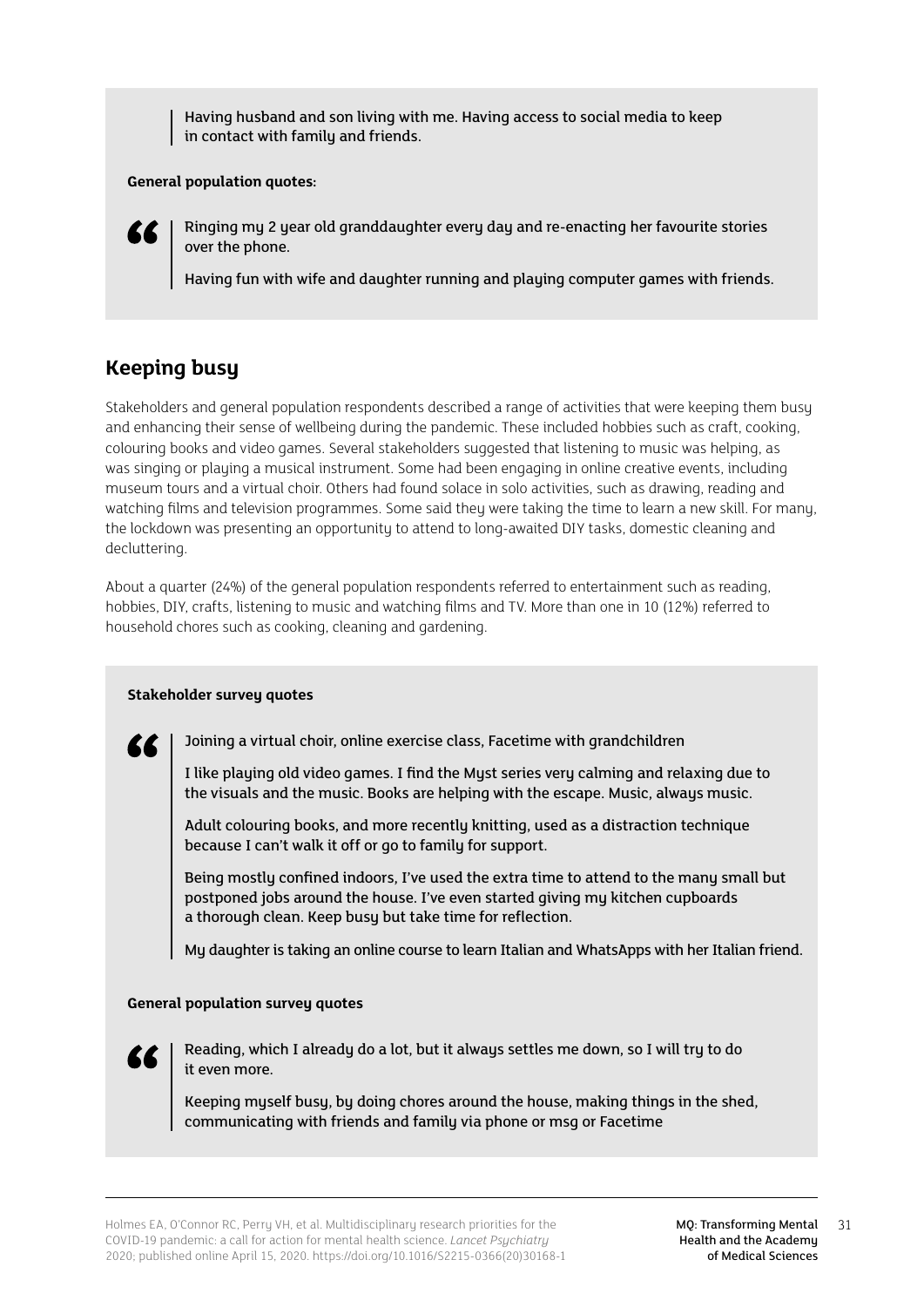<span id="page-30-0"></span>Having husband and son living with me. Having access to social media to keep in contact with family and friends.

### **General population quotes:**

Ringing my 2 year old granddaughter every day and re-enacting her favourite stories over the phone.

Having fun with wife and daughter running and playing computer games with friends.

## **Keeping busy**

Stakeholders and general population respondents described a range of activities that were keeping them busy and enhancing their sense of wellbeing during the pandemic. These included hobbies such as craft, cooking, colouring books and video games. Several stakeholders suggested that listening to music was helping, as was singing or playing a musical instrument. Some had been engaging in online creative events, including museum tours and a virtual choir. Others had found solace in solo activities, such as drawing, reading and watching films and television programmes. Some said they were taking the time to learn a new skill. For many, the lockdown was presenting an opportunity to attend to long-awaited DIY tasks, domestic cleaning and decluttering.

About a quarter (24%) of the general population respondents referred to entertainment such as reading, hobbies, DIY, crafts, listening to music and watching films and TV. More than one in 10 (12%) referred to household chores such as cooking, cleaning and gardening.

## **Stakeholder survey quotes**

Joining a virtual choir, online exercise class, Facetime with grandchildren

I like playing old video games. I find the Myst series very calming and relaxing due to the visuals and the music. Books are helping with the escape. Music, always music.

Adult colouring books, and more recently knitting, used as a distraction technique because I can't walk it off or go to family for support.

Being mostly confined indoors, I've used the extra time to attend to the many small but postponed jobs around the house. I've even started giving my kitchen cupboards a thorough clean. Keep busy but take time for reflection.

My daughter is taking an online course to learn Italian and WhatsApps with her Italian friend.

## **General population survey quotes**



77

Reading, which I already do a lot, but it always settles me down, so I will try to do it even more.

Keeping myself busy, by doing chores around the house, making things in the shed, communicating with friends and family via phone or msg or Facetime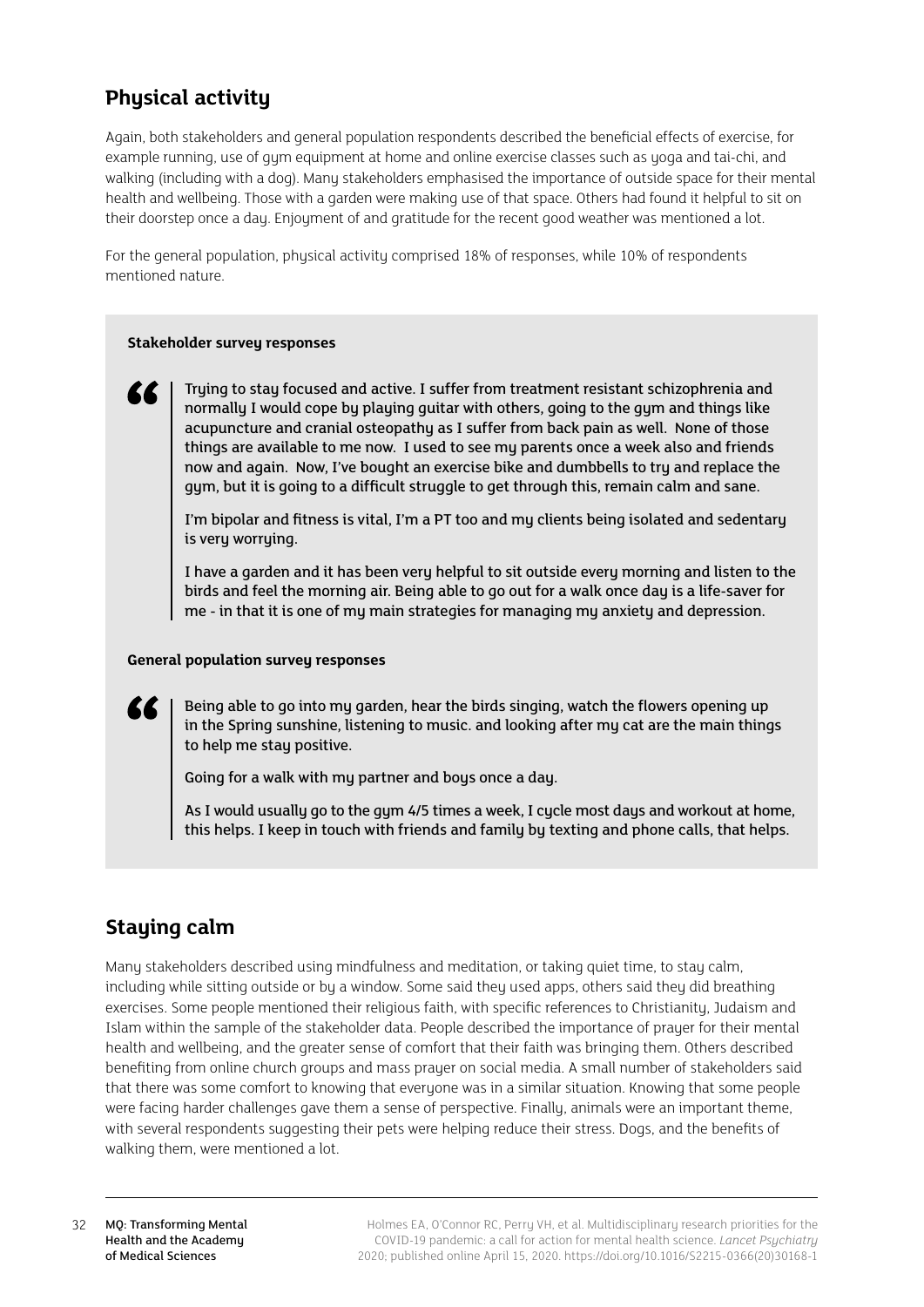## <span id="page-31-0"></span>**Physical activity**

Again, both stakeholders and general population respondents described the beneficial effects of exercise, for example running, use of gym equipment at home and online exercise classes such as yoga and tai-chi, and walking (including with a dog). Many stakeholders emphasised the importance of outside space for their mental health and wellbeing. Those with a garden were making use of that space. Others had found it helpful to sit on their doorstep once a day. Enjoyment of and gratitude for the recent good weather was mentioned a lot.

For the general population, physical activity comprised 18% of responses, while 10% of respondents mentioned nature.

## **Stakeholder survey responses**

Trying to stay focused and active. I suffer from treatment resistant schizophrenia and normally I would cope by playing guitar with others, going to the gym and things like acupuncture and cranial osteopathy as I suffer from back pain as well. None of those things are available to me now. I used to see my parents once a week also and friends now and again. Now, I've bought an exercise bike and dumbbells to try and replace the gym, but it is going to a difficult struggle to get through this, remain calm and sane.

I'm bipolar and fitness is vital, I'm a PT too and my clients being isolated and sedentary is very worrying.

I have a garden and it has been very helpful to sit outside every morning and listen to the birds and feel the morning air. Being able to go out for a walk once day is a life-saver for me - in that it is one of my main strategies for managing my anxiety and depression.

### **General population survey responses**

Being able to go into my garden, hear the birds singing, watch the flowers opening up in the Spring sunshine, listening to music. and looking after my cat are the main things to help me stay positive.

Going for a walk with my partner and boys once a day.

As I would usually go to the gym 4/5 times a week, I cycle most days and workout at home, this helps. I keep in touch with friends and family by texting and phone calls, that helps.

## **Staying calm**

Many stakeholders described using mindfulness and meditation, or taking quiet time, to stay calm, including while sitting outside or by a window. Some said they used apps, others said they did breathing exercises. Some people mentioned their religious faith, with specific references to Christianity, Judaism and Islam within the sample of the stakeholder data. People described the importance of prayer for their mental health and wellbeing, and the greater sense of comfort that their faith was bringing them. Others described benefiting from online church groups and mass prayer on social media. A small number of stakeholders said that there was some comfort to knowing that everyone was in a similar situation. Knowing that some people were facing harder challenges gave them a sense of perspective. Finally, animals were an important theme, with several respondents suggesting their pets were helping reduce their stress. Dogs, and the benefits of walking them, were mentioned a lot.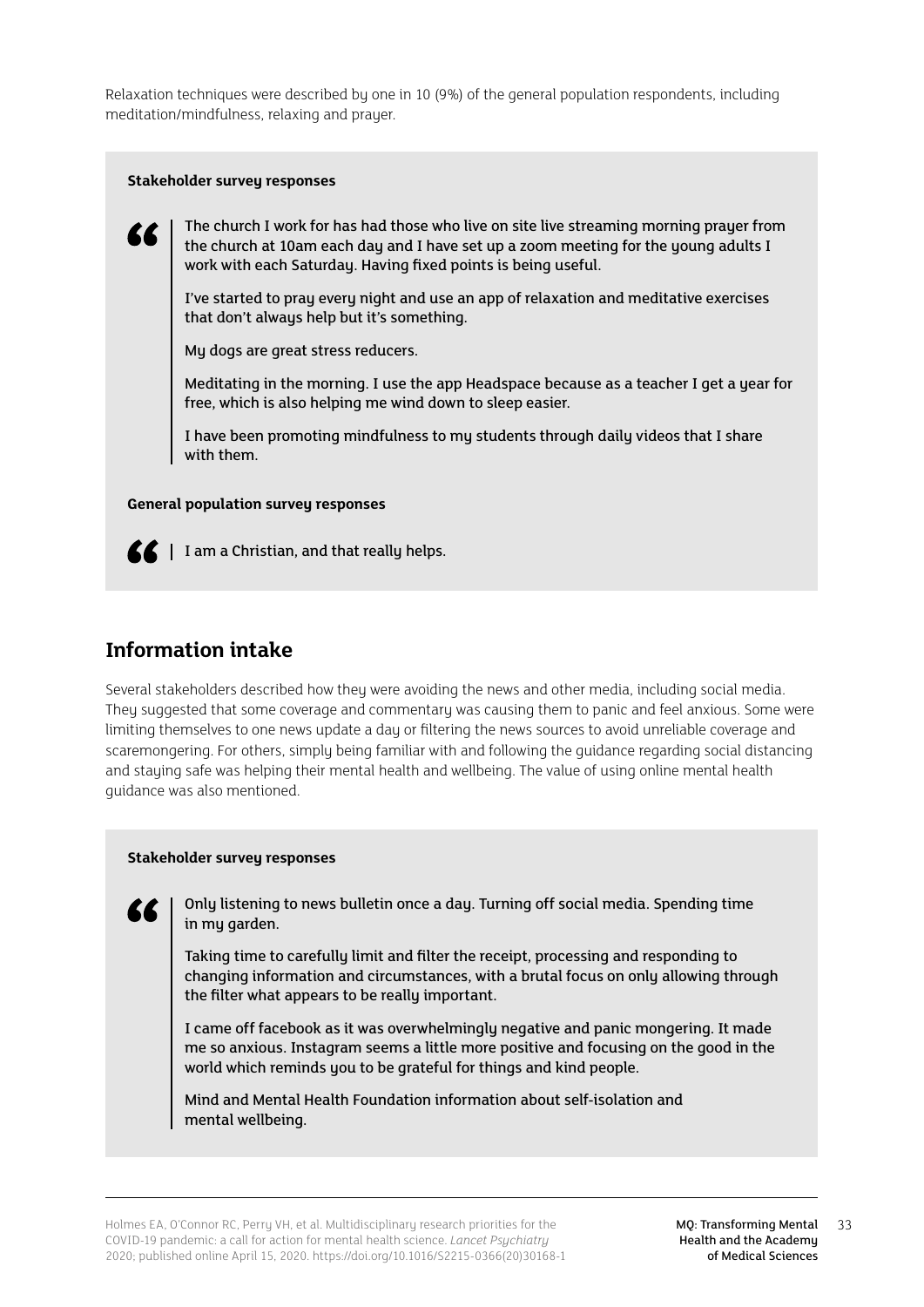<span id="page-32-0"></span>Relaxation techniques were described by one in 10 (9%) of the general population respondents, including meditation/mindfulness, relaxing and prayer.

#### **Stakeholder survey responses**



The church I work for has had those who live on site live streaming morning prayer from the church at 10am each day and I have set up a zoom meeting for the young adults I work with each Saturday. Having fixed points is being useful.

I've started to pray every night and use an app of relaxation and meditative exercises that don't always help but it's something.

My dogs are great stress reducers.

Meditating in the morning. I use the app Headspace because as a teacher I get a year for free, which is also helping me wind down to sleep easier.

I have been promoting mindfulness to my students through daily videos that I share with them.

### **General population survey responses**



 $\mathbf{K}$  | I am a Christian, and that really helps.

## **Information intake**

Several stakeholders described how they were avoiding the news and other media, including social media. They suggested that some coverage and commentary was causing them to panic and feel anxious. Some were limiting themselves to one news update a day or filtering the news sources to avoid unreliable coverage and scaremongering. For others, simply being familiar with and following the guidance regarding social distancing and staying safe was helping their mental health and wellbeing. The value of using online mental health guidance was also mentioned.

#### **Stakeholder survey responses**

Only listening to news bulletin once a day. Turning off social media. Spending time in my garden.

Taking time to carefully limit and filter the receipt, processing and responding to changing information and circumstances, with a brutal focus on only allowing through the filter what appears to be really important.

I came off facebook as it was overwhelmingly negative and panic mongering. It made me so anxious. Instagram seems a little more positive and focusing on the good in the world which reminds you to be grateful for things and kind people.

Mind and Mental Health Foundation information about self-isolation and mental wellbeing.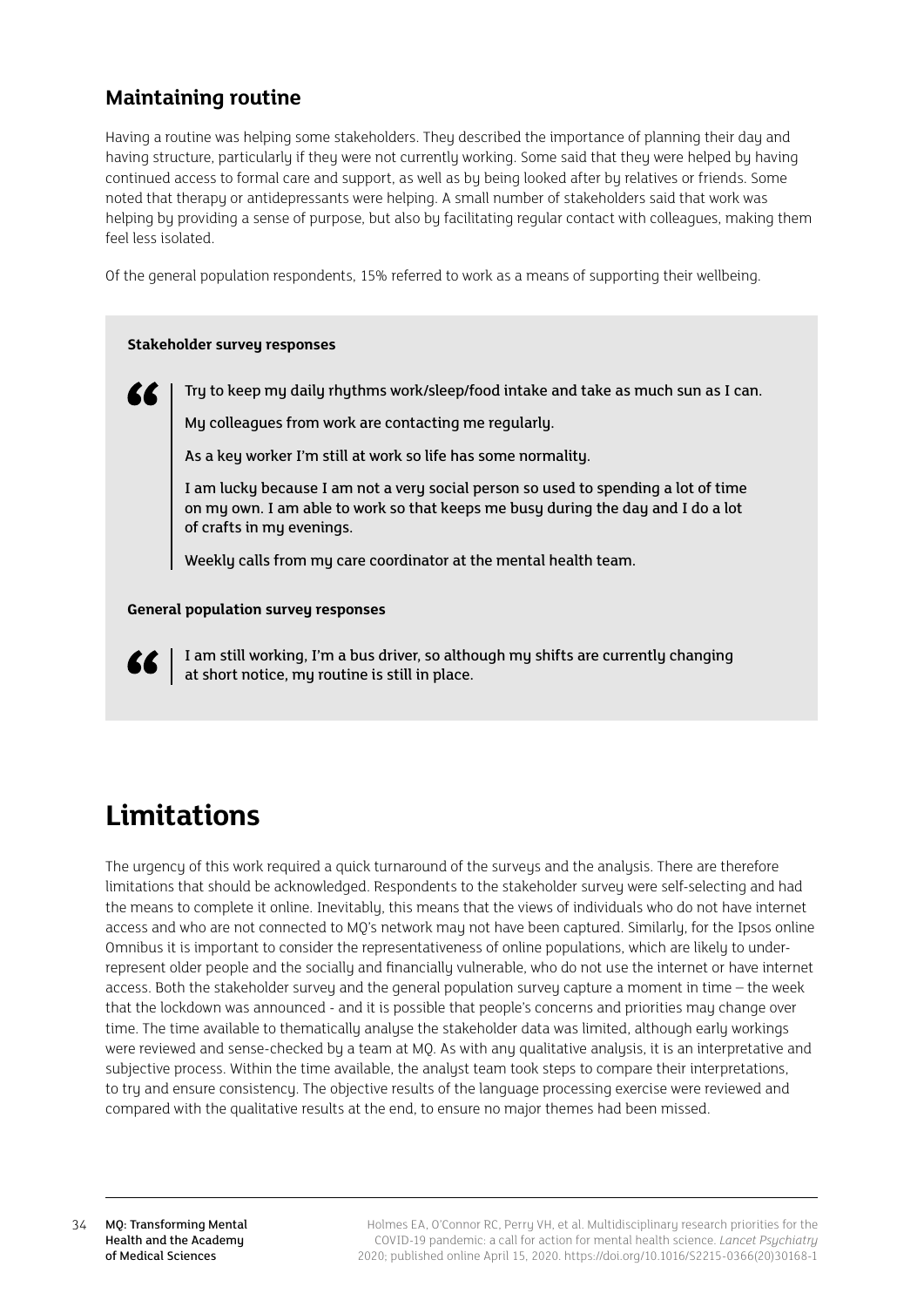## <span id="page-33-0"></span>**Maintaining routine**

Having a routine was helping some stakeholders. They described the importance of planning their day and having structure, particularly if they were not currently working. Some said that they were helped by having continued access to formal care and support, as well as by being looked after by relatives or friends. Some noted that therapy or antidepressants were helping. A small number of stakeholders said that work was helping by providing a sense of purpose, but also by facilitating regular contact with colleagues, making them feel less isolated.

Of the general population respondents, 15% referred to work as a means of supporting their wellbeing.

### **Stakeholder survey responses**

Try to keep my daily rhythms work/sleep/food intake and take as much sun as I can.

My colleagues from work are contacting me regularly.

As a key worker I'm still at work so life has some normality.

I am lucky because I am not a very social person so used to spending a lot of time on my own. I am able to work so that keeps me busy during the day and I do a lot of crafts in my evenings.

Weekly calls from my care coordinator at the mental health team.

## **General population survey responses**



I am still working, I'm a bus driver, so although my shifts are currently changing at short notice, my routine is still in place.

## **Limitations**

The urgency of this work required a quick turnaround of the surveus and the analysis. There are therefore limitations that should be acknowledged. Respondents to the stakeholder survey were self-selecting and had the means to complete it online. Inevitably, this means that the views of individuals who do not have internet access and who are not connected to MO's network may not have been captured. Similarly, for the Ipsos online Omnibus it is important to consider the representativeness of online populations, which are likely to underrepresent older people and the socially and financially vulnerable, who do not use the internet or have internet access. Both the stakeholder survey and the general population survey capture a moment in time – the week that the lockdown was announced - and it is possible that people's concerns and priorities may change over time. The time available to thematically analyse the stakeholder data was limited, although early workings were reviewed and sense-checked by a team at MO. As with any qualitative analysis, it is an interpretative and subjective process. Within the time available, the analyst team took steps to compare their interpretations, to try and ensure consistency. The objective results of the language processing exercise were reviewed and compared with the qualitative results at the end, to ensure no major themes had been missed.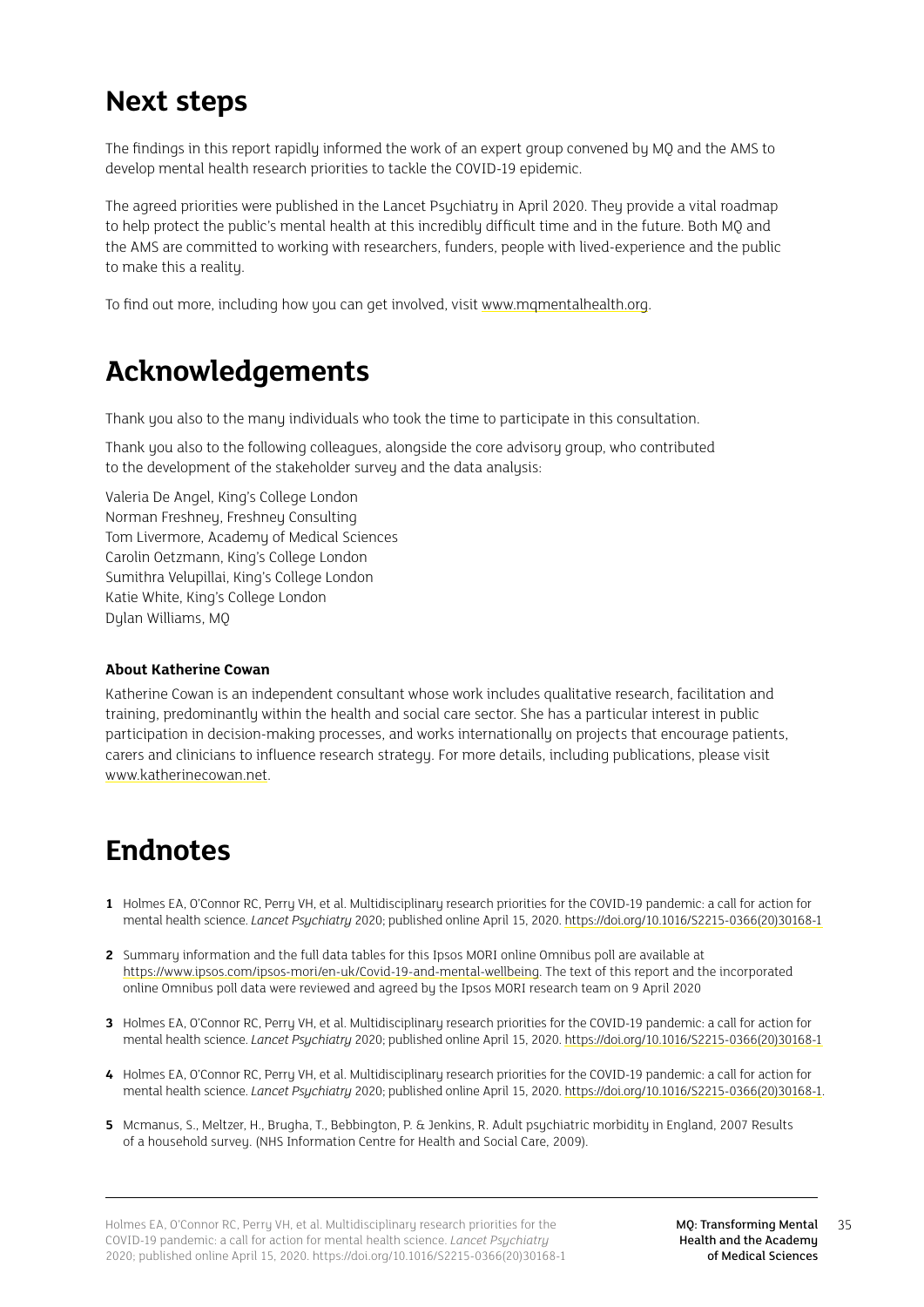## <span id="page-34-0"></span>**Next steps**

The findings in this report rapidly informed the work of an expert group convened by MQ and the AMS to develop mental health research priorities to tackle the COVID-19 epidemic.

The agreed priorities were published in the Lancet Psychiatry in April 2020. They provide a vital roadmap to help protect the public's mental health at this incredibly difficult time and in the future. Both MQ and the AMS are committed to working with researchers, funders, people with lived-experience and the public to make this a reality.

To find out more, including how you can get involved, visit [www.mqmentalhealth.org.](http://www.mqmentalhealth.org)

## **Acknowledgements**

Thank you also to the many individuals who took the time to participate in this consultation.

Thank you also to the following colleagues, alongside the core advisory group, who contributed to the development of the stakeholder survey and the data analysis:

Valeria De Angel, King's College London Norman Freshney, Freshney Consulting Tom Livermore, Academy of Medical Sciences Carolin Oetzmann, King's College London Sumithra Velupillai, King's College London Katie White, King's College London Dylan Williams, MQ

## **About Katherine Cowan**

Katherine Cowan is an independent consultant whose work includes qualitative research, facilitation and training, predominantly within the health and social care sector. She has a particular interest in public participation in decision-making processes, and works internationally on projects that encourage patients, carers and clinicians to influence research strategy. For more details, including publications, please visit [www.katherinecowan.net](http://www.katherinecowan.net).

## **Endnotes**

- **1** Holmes EA, O'Connor RC, Perry VH, et al. Multidisciplinary research priorities for the COVID-19 pandemic: a call for action for mental health science. *Lancet Psychiatry* 2020; published online April 15, 2020. [https://doi.org/10.1016/S2215-0366\(20\)30168-1](https://doi.org/10.1016/S2215-0366(20)30168-1)
- **2** Summary information and the full data tables for this Ipsos MORI online Omnibus poll are available at [https://www.ipsos.com/ipsos-mori/en-uk/Covid-19-and-mental-wellbeing.](https://www.ipsos.com/ipsos-mori/en-uk/Covid-19-and-mental-wellbeing) The text of this report and the incorporated online Omnibus poll data were reviewed and agreed by the Ipsos MORI research team on 9 April 2020
- **3** Holmes EA, O'Connor RC, Perry VH, et al. Multidisciplinary research priorities for the COVID-19 pandemic: a call for action for mental health science. *Lancet Psychiatry* 2020; published online April 15, 2020. [https://doi.org/10.1016/S2215-0366\(20\)30168-1](https://doi.org/10.1016/S2215-0366(20)30168-1)
- **4** Holmes EA, O'Connor RC, Perry VH, et al. Multidisciplinary research priorities for the COVID-19 pandemic: a call for action for mental health science. *Lancet Psychiatry* 2020; published online April 15, 2020. [https://doi.org/10.1016/S2215-0366\(20\)30168-1.](https://doi.org/10.1016/S2215-0366(20)30168-1)
- **5** Mcmanus, S., Meltzer, H., Brugha, T., Bebbington, P. & Jenkins, R. Adult psychiatric morbidity in England, 2007 Results of a household survey. (NHS Information Centre for Health and Social Care, 2009).